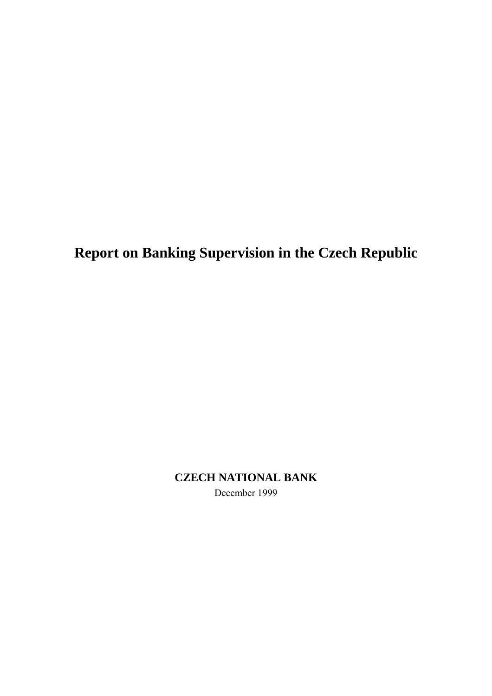**Report on Banking Supervision in the Czech Republic**

**CZECH NATIONAL BANK** December 1999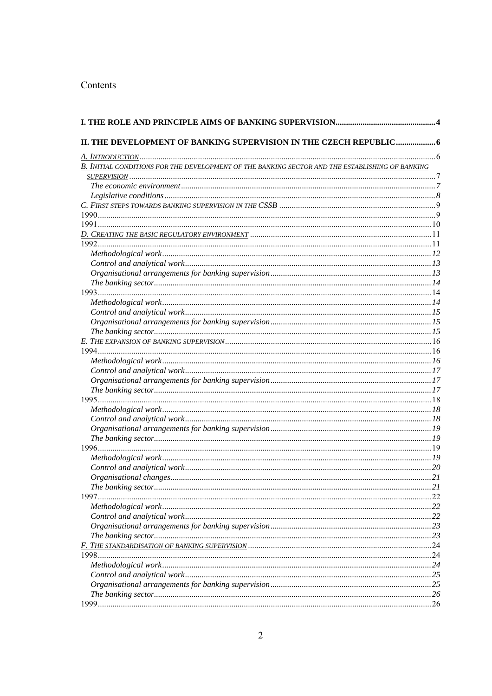## Contents

| II. THE DEVELOPMENT OF BANKING SUPERVISION IN THE CZECH REPUBLIC 6                              |               |
|-------------------------------------------------------------------------------------------------|---------------|
|                                                                                                 |               |
| B. INITIAL CONDITIONS FOR THE DEVELOPMENT OF THE BANKING SECTOR AND THE ESTABLISHING OF BANKING |               |
|                                                                                                 |               |
|                                                                                                 |               |
|                                                                                                 |               |
|                                                                                                 |               |
|                                                                                                 |               |
|                                                                                                 |               |
|                                                                                                 |               |
|                                                                                                 |               |
|                                                                                                 |               |
|                                                                                                 |               |
|                                                                                                 |               |
|                                                                                                 |               |
|                                                                                                 |               |
|                                                                                                 |               |
|                                                                                                 |               |
|                                                                                                 |               |
|                                                                                                 |               |
|                                                                                                 |               |
|                                                                                                 |               |
|                                                                                                 |               |
|                                                                                                 |               |
|                                                                                                 |               |
|                                                                                                 |               |
|                                                                                                 |               |
|                                                                                                 |               |
|                                                                                                 |               |
|                                                                                                 |               |
|                                                                                                 |               |
|                                                                                                 |               |
|                                                                                                 |               |
|                                                                                                 |               |
|                                                                                                 |               |
|                                                                                                 |               |
|                                                                                                 | 21            |
| The banking sector                                                                              |               |
|                                                                                                 |               |
|                                                                                                 | 22            |
|                                                                                                 | 22            |
|                                                                                                 | .23           |
|                                                                                                 | 23            |
|                                                                                                 | .24           |
| 1998                                                                                            | .24           |
|                                                                                                 | . 24          |
|                                                                                                 | . 25          |
|                                                                                                 | $\ldots$ . 25 |
|                                                                                                 | . 26          |
| 1999.                                                                                           | 26            |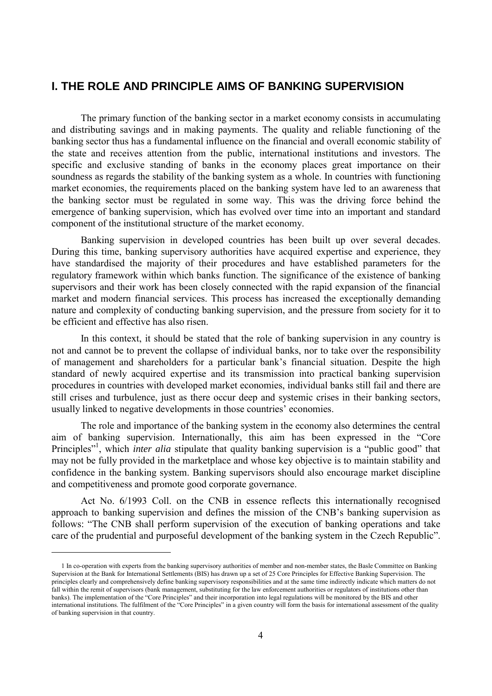# **I. THE ROLE AND PRINCIPLE AIMS OF BANKING SUPERVISION**

The primary function of the banking sector in a market economy consists in accumulating and distributing savings and in making payments. The quality and reliable functioning of the banking sector thus has a fundamental influence on the financial and overall economic stability of the state and receives attention from the public, international institutions and investors. The specific and exclusive standing of banks in the economy places great importance on their soundness as regards the stability of the banking system as a whole. In countries with functioning market economies, the requirements placed on the banking system have led to an awareness that the banking sector must be regulated in some way. This was the driving force behind the emergence of banking supervision, which has evolved over time into an important and standard component of the institutional structure of the market economy.

Banking supervision in developed countries has been built up over several decades. During this time, banking supervisory authorities have acquired expertise and experience, they have standardised the majority of their procedures and have established parameters for the regulatory framework within which banks function. The significance of the existence of banking supervisors and their work has been closely connected with the rapid expansion of the financial market and modern financial services. This process has increased the exceptionally demanding nature and complexity of conducting banking supervision, and the pressure from society for it to be efficient and effective has also risen.

In this context, it should be stated that the role of banking supervision in any country is not and cannot be to prevent the collapse of individual banks, nor to take over the responsibility of management and shareholders for a particular bank's financial situation. Despite the high standard of newly acquired expertise and its transmission into practical banking supervision procedures in countries with developed market economies, individual banks still fail and there are still crises and turbulence, just as there occur deep and systemic crises in their banking sectors, usually linked to negative developments in those countries' economies.

The role and importance of the banking system in the economy also determines the central aim of banking supervision. Internationally, this aim has been expressed in the "Core Principles"<sup>1</sup>, which *inter alia* stipulate that quality banking supervision is a "public good" that may not be fully provided in the marketplace and whose key objective is to maintain stability and confidence in the banking system. Banking supervisors should also encourage market discipline and competitiveness and promote good corporate governance.

Act No. 6/1993 Coll. on the CNB in essence reflects this internationally recognised approach to banking supervision and defines the mission of the CNB's banking supervision as follows: "The CNB shall perform supervision of the execution of banking operations and take care of the prudential and purposeful development of the banking system in the Czech Republic".

 $\overline{a}$ 

<sup>1</sup> In co-operation with experts from the banking supervisory authorities of member and non-member states, the Basle Committee on Banking Supervision at the Bank for International Settlements (BIS) has drawn up a set of 25 Core Principles for Effective Banking Supervision. The principles clearly and comprehensively define banking supervisory responsibilities and at the same time indirectly indicate which matters do not fall within the remit of supervisors (bank management, substituting for the law enforcement authorities or regulators of institutions other than banks). The implementation of the "Core Principles" and their incorporation into legal regulations will be monitored by the BIS and other international institutions. The fulfilment of the "Core Principles" in a given country will form the basis for international assessment of the quality of banking supervision in that country.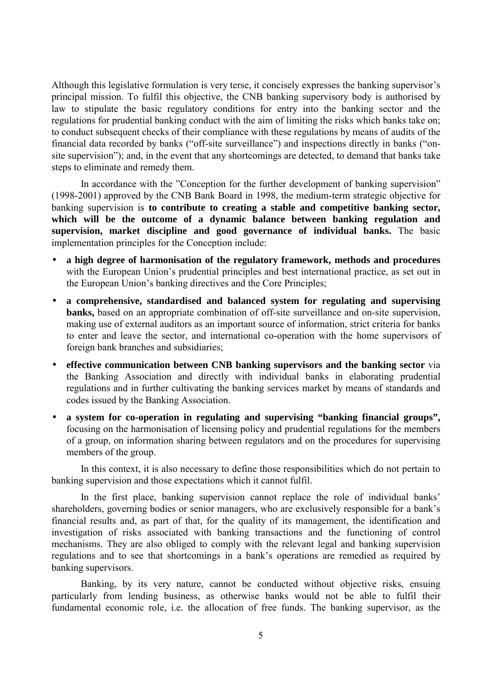Although this legislative formulation is very terse, it concisely expresses the banking supervisor's principal mission. To fulfil this objective, the CNB banking supervisory body is authorised by law to stipulate the basic regulatory conditions for entry into the banking sector and the regulations for prudential banking conduct with the aim of limiting the risks which banks take on; to conduct subsequent checks of their compliance with these regulations by means of audits of the financial data recorded by banks ("off-site surveillance") and inspections directly in banks ("onsite supervision"); and, in the event that any shortcomings are detected, to demand that banks take steps to eliminate and remedy them.

In accordance with the "Conception for the further development of banking supervision" (1998-2001) approved by the CNB Bank Board in 1998, the medium-term strategic objective for banking supervision is **to contribute to creating a stable and competitive banking sector, which will be the outcome of a dynamic balance between banking regulation and supervision, market discipline and good governance of individual banks.** The basic implementation principles for the Conception include:

- **a high degree of harmonisation of the regulatory framework, methods and procedures** with the European Union's prudential principles and best international practice, as set out in the European Union's banking directives and the Core Principles;
- **a comprehensive, standardised and balanced system for regulating and supervising banks,** based on an appropriate combination of off-site surveillance and on-site supervision, making use of external auditors as an important source of information, strict criteria for banks to enter and leave the sector, and international co-operation with the home supervisors of foreign bank branches and subsidiaries;
- **effective communication between CNB banking supervisors and the banking sector** via the Banking Association and directly with individual banks in elaborating prudential regulations and in further cultivating the banking services market by means of standards and codes issued by the Banking Association.
- **a system for co-operation in regulating and supervising "banking financial groups",** focusing on the harmonisation of licensing policy and prudential regulations for the members of a group, on information sharing between regulators and on the procedures for supervising members of the group.

In this context, it is also necessary to define those responsibilities which do not pertain to banking supervision and those expectations which it cannot fulfil.

In the first place, banking supervision cannot replace the role of individual banks' shareholders, governing bodies or senior managers, who are exclusively responsible for a bank's financial results and, as part of that, for the quality of its management, the identification and investigation of risks associated with banking transactions and the functioning of control mechanisms. They are also obliged to comply with the relevant legal and banking supervision regulations and to see that shortcomings in a bank's operations are remedied as required by banking supervisors.

Banking, by its very nature, cannot be conducted without objective risks, ensuing particularly from lending business, as otherwise banks would not be able to fulfil their fundamental economic role, i.e. the allocation of free funds. The banking supervisor, as the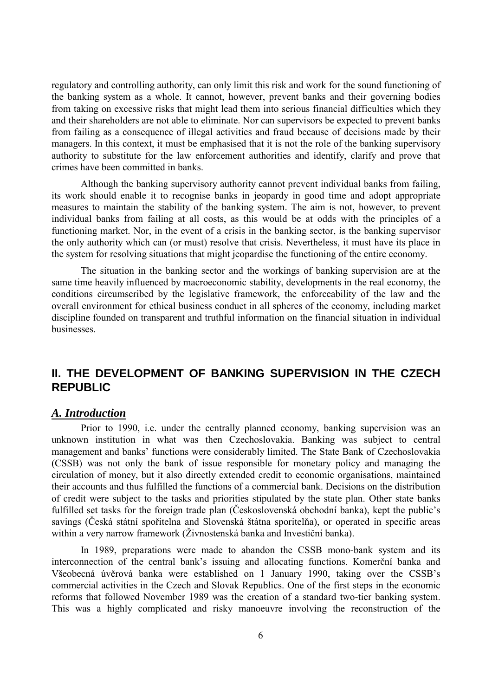regulatory and controlling authority, can only limit this risk and work for the sound functioning of the banking system as a whole. It cannot, however, prevent banks and their governing bodies from taking on excessive risks that might lead them into serious financial difficulties which they and their shareholders are not able to eliminate. Nor can supervisors be expected to prevent banks from failing as a consequence of illegal activities and fraud because of decisions made by their managers. In this context, it must be emphasised that it is not the role of the banking supervisory authority to substitute for the law enforcement authorities and identify, clarify and prove that crimes have been committed in banks.

Although the banking supervisory authority cannot prevent individual banks from failing, its work should enable it to recognise banks in jeopardy in good time and adopt appropriate measures to maintain the stability of the banking system. The aim is not, however, to prevent individual banks from failing at all costs, as this would be at odds with the principles of a functioning market. Nor, in the event of a crisis in the banking sector, is the banking supervisor the only authority which can (or must) resolve that crisis. Nevertheless, it must have its place in the system for resolving situations that might jeopardise the functioning of the entire economy.

The situation in the banking sector and the workings of banking supervision are at the same time heavily influenced by macroeconomic stability, developments in the real economy, the conditions circumscribed by the legislative framework, the enforceability of the law and the overall environment for ethical business conduct in all spheres of the economy, including market discipline founded on transparent and truthful information on the financial situation in individual businesses.

# **II. THE DEVELOPMENT OF BANKING SUPERVISION IN THE CZECH REPUBLIC**

### *A. Introduction*

Prior to 1990, i.e. under the centrally planned economy, banking supervision was an unknown institution in what was then Czechoslovakia. Banking was subject to central management and banks' functions were considerably limited. The State Bank of Czechoslovakia (CSSB) was not only the bank of issue responsible for monetary policy and managing the circulation of money, but it also directly extended credit to economic organisations, maintained their accounts and thus fulfilled the functions of a commercial bank. Decisions on the distribution of credit were subject to the tasks and priorities stipulated by the state plan. Other state banks fulfilled set tasks for the foreign trade plan (Československá obchodní banka), kept the public's savings (Česká státní spořitelna and Slovenská štátna sporitelňa), or operated in specific areas within a very narrow framework (Živnostenská banka and Investiční banka).

In 1989, preparations were made to abandon the CSSB mono-bank system and its interconnection of the central bank's issuing and allocating functions. Komerční banka and Všeobecná úvěrová banka were established on 1 January 1990, taking over the CSSB's commercial activities in the Czech and Slovak Republics. One of the first steps in the economic reforms that followed November 1989 was the creation of a standard two-tier banking system. This was a highly complicated and risky manoeuvre involving the reconstruction of the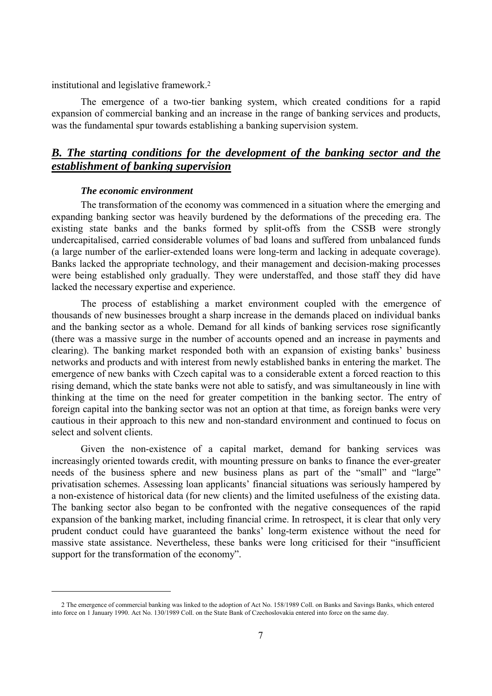institutional and legislative framework.2

The emergence of a two-tier banking system, which created conditions for a rapid expansion of commercial banking and an increase in the range of banking services and products, was the fundamental spur towards establishing a banking supervision system.

## *B. The starting conditions for the development of the banking sector and the establishment of banking supervision*

#### *The economic environment*

 $\overline{a}$ 

The transformation of the economy was commenced in a situation where the emerging and expanding banking sector was heavily burdened by the deformations of the preceding era. The existing state banks and the banks formed by split-offs from the CSSB were strongly undercapitalised, carried considerable volumes of bad loans and suffered from unbalanced funds (a large number of the earlier-extended loans were long-term and lacking in adequate coverage). Banks lacked the appropriate technology, and their management and decision-making processes were being established only gradually. They were understaffed, and those staff they did have lacked the necessary expertise and experience.

The process of establishing a market environment coupled with the emergence of thousands of new businesses brought a sharp increase in the demands placed on individual banks and the banking sector as a whole. Demand for all kinds of banking services rose significantly (there was a massive surge in the number of accounts opened and an increase in payments and clearing). The banking market responded both with an expansion of existing banks' business networks and products and with interest from newly established banks in entering the market. The emergence of new banks with Czech capital was to a considerable extent a forced reaction to this rising demand, which the state banks were not able to satisfy, and was simultaneously in line with thinking at the time on the need for greater competition in the banking sector. The entry of foreign capital into the banking sector was not an option at that time, as foreign banks were very cautious in their approach to this new and non-standard environment and continued to focus on select and solvent clients.

Given the non-existence of a capital market, demand for banking services was increasingly oriented towards credit, with mounting pressure on banks to finance the ever-greater needs of the business sphere and new business plans as part of the "small" and "large" privatisation schemes. Assessing loan applicants' financial situations was seriously hampered by a non-existence of historical data (for new clients) and the limited usefulness of the existing data. The banking sector also began to be confronted with the negative consequences of the rapid expansion of the banking market, including financial crime. In retrospect, it is clear that only very prudent conduct could have guaranteed the banks' long-term existence without the need for massive state assistance. Nevertheless, these banks were long criticised for their "insufficient support for the transformation of the economy".

<sup>2</sup> The emergence of commercial banking was linked to the adoption of Act No. 158/1989 Coll. on Banks and Savings Banks, which entered into force on 1 January 1990. Act No. 130/1989 Coll. on the State Bank of Czechoslovakia entered into force on the same day.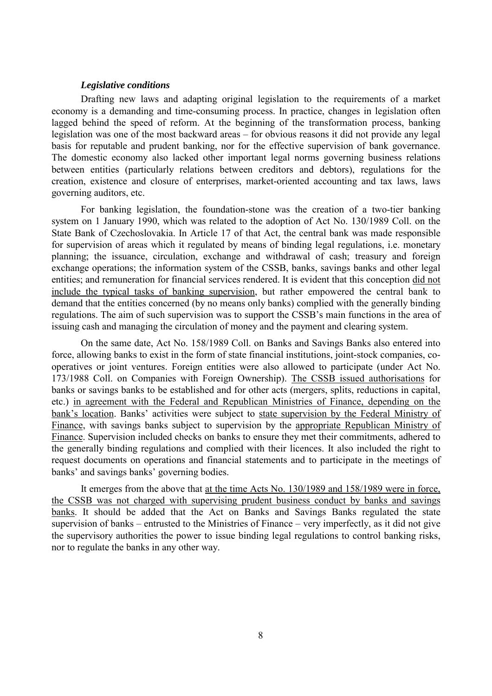#### *Legislative conditions*

Drafting new laws and adapting original legislation to the requirements of a market economy is a demanding and time-consuming process. In practice, changes in legislation often lagged behind the speed of reform. At the beginning of the transformation process, banking legislation was one of the most backward areas – for obvious reasons it did not provide any legal basis for reputable and prudent banking, nor for the effective supervision of bank governance. The domestic economy also lacked other important legal norms governing business relations between entities (particularly relations between creditors and debtors), regulations for the creation, existence and closure of enterprises, market-oriented accounting and tax laws, laws governing auditors, etc.

For banking legislation, the foundation-stone was the creation of a two-tier banking system on 1 January 1990, which was related to the adoption of Act No. 130/1989 Coll. on the State Bank of Czechoslovakia. In Article 17 of that Act, the central bank was made responsible for supervision of areas which it regulated by means of binding legal regulations, i.e. monetary planning; the issuance, circulation, exchange and withdrawal of cash; treasury and foreign exchange operations; the information system of the CSSB, banks, savings banks and other legal entities; and remuneration for financial services rendered. It is evident that this conception did not include the typical tasks of banking supervision, but rather empowered the central bank to demand that the entities concerned (by no means only banks) complied with the generally binding regulations. The aim of such supervision was to support the CSSB's main functions in the area of issuing cash and managing the circulation of money and the payment and clearing system.

On the same date, Act No. 158/1989 Coll. on Banks and Savings Banks also entered into force, allowing banks to exist in the form of state financial institutions, joint-stock companies, cooperatives or joint ventures. Foreign entities were also allowed to participate (under Act No. 173/1988 Coll. on Companies with Foreign Ownership). The CSSB issued authorisations for banks or savings banks to be established and for other acts (mergers, splits, reductions in capital, etc.) in agreement with the Federal and Republican Ministries of Finance, depending on the bank's location. Banks' activities were subject to state supervision by the Federal Ministry of Finance, with savings banks subject to supervision by the appropriate Republican Ministry of Finance. Supervision included checks on banks to ensure they met their commitments, adhered to the generally binding regulations and complied with their licences. It also included the right to request documents on operations and financial statements and to participate in the meetings of banks' and savings banks' governing bodies.

It emerges from the above that at the time Acts No. 130/1989 and 158/1989 were in force, the CSSB was not charged with supervising prudent business conduct by banks and savings banks. It should be added that the Act on Banks and Savings Banks regulated the state supervision of banks – entrusted to the Ministries of Finance – very imperfectly, as it did not give the supervisory authorities the power to issue binding legal regulations to control banking risks, nor to regulate the banks in any other way.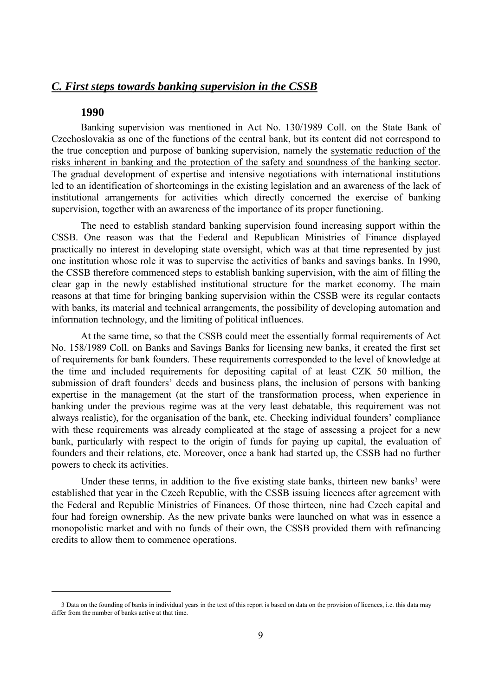## *C. First steps towards banking supervision in the CSSB*

### **1990**

 $\overline{a}$ 

Banking supervision was mentioned in Act No. 130/1989 Coll. on the State Bank of Czechoslovakia as one of the functions of the central bank, but its content did not correspond to the true conception and purpose of banking supervision, namely the systematic reduction of the risks inherent in banking and the protection of the safety and soundness of the banking sector. The gradual development of expertise and intensive negotiations with international institutions led to an identification of shortcomings in the existing legislation and an awareness of the lack of institutional arrangements for activities which directly concerned the exercise of banking supervision, together with an awareness of the importance of its proper functioning.

The need to establish standard banking supervision found increasing support within the CSSB. One reason was that the Federal and Republican Ministries of Finance displayed practically no interest in developing state oversight, which was at that time represented by just one institution whose role it was to supervise the activities of banks and savings banks. In 1990, the CSSB therefore commenced steps to establish banking supervision, with the aim of filling the clear gap in the newly established institutional structure for the market economy. The main reasons at that time for bringing banking supervision within the CSSB were its regular contacts with banks, its material and technical arrangements, the possibility of developing automation and information technology, and the limiting of political influences.

At the same time, so that the CSSB could meet the essentially formal requirements of Act No. 158/1989 Coll. on Banks and Savings Banks for licensing new banks, it created the first set of requirements for bank founders. These requirements corresponded to the level of knowledge at the time and included requirements for depositing capital of at least CZK 50 million, the submission of draft founders' deeds and business plans, the inclusion of persons with banking expertise in the management (at the start of the transformation process, when experience in banking under the previous regime was at the very least debatable, this requirement was not always realistic), for the organisation of the bank, etc. Checking individual founders' compliance with these requirements was already complicated at the stage of assessing a project for a new bank, particularly with respect to the origin of funds for paying up capital, the evaluation of founders and their relations, etc. Moreover, once a bank had started up, the CSSB had no further powers to check its activities.

Under these terms, in addition to the five existing state banks, thirteen new banks $3$  were established that year in the Czech Republic, with the CSSB issuing licences after agreement with the Federal and Republic Ministries of Finances. Of those thirteen, nine had Czech capital and four had foreign ownership. As the new private banks were launched on what was in essence a monopolistic market and with no funds of their own, the CSSB provided them with refinancing credits to allow them to commence operations.

<sup>3</sup> Data on the founding of banks in individual years in the text of this report is based on data on the provision of licences, i.e. this data may differ from the number of banks active at that time.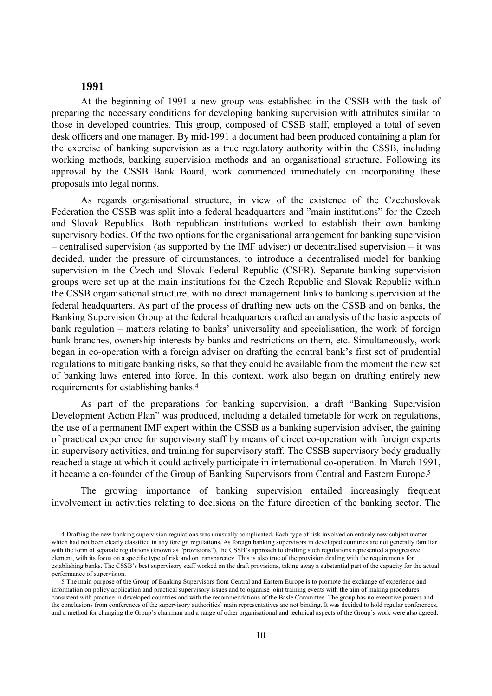## **1991**

 $\overline{a}$ 

At the beginning of 1991 a new group was established in the CSSB with the task of preparing the necessary conditions for developing banking supervision with attributes similar to those in developed countries. This group, composed of CSSB staff, employed a total of seven desk officers and one manager. By mid-1991 a document had been produced containing a plan for the exercise of banking supervision as a true regulatory authority within the CSSB, including working methods, banking supervision methods and an organisational structure. Following its approval by the CSSB Bank Board, work commenced immediately on incorporating these proposals into legal norms.

As regards organisational structure, in view of the existence of the Czechoslovak Federation the CSSB was split into a federal headquarters and "main institutions" for the Czech and Slovak Republics. Both republican institutions worked to establish their own banking supervisory bodies. Of the two options for the organisational arrangement for banking supervision – centralised supervision (as supported by the IMF adviser) or decentralised supervision – it was decided, under the pressure of circumstances, to introduce a decentralised model for banking supervision in the Czech and Slovak Federal Republic (CSFR). Separate banking supervision groups were set up at the main institutions for the Czech Republic and Slovak Republic within the CSSB organisational structure, with no direct management links to banking supervision at the federal headquarters. As part of the process of drafting new acts on the CSSB and on banks, the Banking Supervision Group at the federal headquarters drafted an analysis of the basic aspects of bank regulation – matters relating to banks' universality and specialisation, the work of foreign bank branches, ownership interests by banks and restrictions on them, etc. Simultaneously, work began in co-operation with a foreign adviser on drafting the central bank's first set of prudential regulations to mitigate banking risks, so that they could be available from the moment the new set of banking laws entered into force. In this context, work also began on drafting entirely new requirements for establishing banks.4

As part of the preparations for banking supervision, a draft "Banking Supervision Development Action Plan" was produced, including a detailed timetable for work on regulations, the use of a permanent IMF expert within the CSSB as a banking supervision adviser, the gaining of practical experience for supervisory staff by means of direct co-operation with foreign experts in supervisory activities, and training for supervisory staff. The CSSB supervisory body gradually reached a stage at which it could actively participate in international co-operation. In March 1991, it became a co-founder of the Group of Banking Supervisors from Central and Eastern Europe.5

The growing importance of banking supervision entailed increasingly frequent involvement in activities relating to decisions on the future direction of the banking sector. The

<sup>4</sup> Drafting the new banking supervision regulations was unusually complicated. Each type of risk involved an entirely new subject matter which had not been clearly classified in any foreign regulations. As foreign banking supervisors in developed countries are not generally familiar with the form of separate regulations (known as "provisions"), the CSSB's approach to drafting such regulations represented a progressive element, with its focus on a specific type of risk and on transparency. This is also true of the provision dealing with the requirements for establishing banks. The CSSB's best supervisory staff worked on the draft provisions, taking away a substantial part of the capacity for the actual performance of supervision.

<sup>5</sup> The main purpose of the Group of Banking Supervisors from Central and Eastern Europe is to promote the exchange of experience and information on policy application and practical supervisory issues and to organise joint training events with the aim of making procedures consistent with practice in developed countries and with the recommendations of the Basle Committee. The group has no executive powers and the conclusions from conferences of the supervisory authorities' main representatives are not binding. It was decided to hold regular conferences, and a method for changing the Group's chairman and a range of other organisational and technical aspects of the Group's work were also agreed.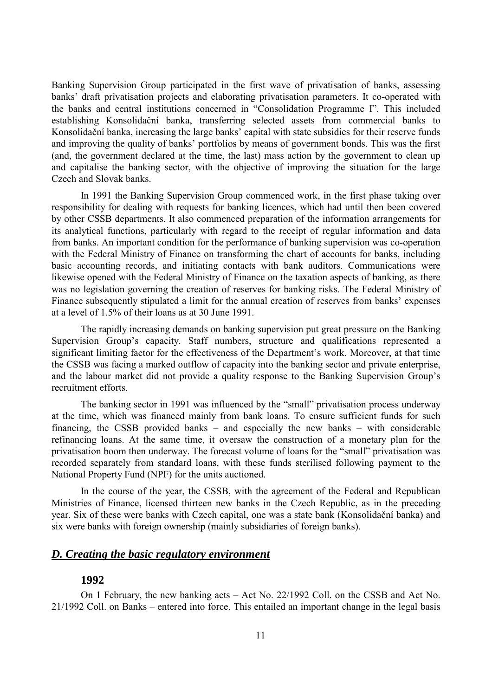Banking Supervision Group participated in the first wave of privatisation of banks, assessing banks' draft privatisation projects and elaborating privatisation parameters. It co-operated with the banks and central institutions concerned in "Consolidation Programme I". This included establishing Konsolidační banka, transferring selected assets from commercial banks to Konsolidační banka, increasing the large banks' capital with state subsidies for their reserve funds and improving the quality of banks' portfolios by means of government bonds. This was the first (and, the government declared at the time, the last) mass action by the government to clean up and capitalise the banking sector, with the objective of improving the situation for the large Czech and Slovak banks.

In 1991 the Banking Supervision Group commenced work, in the first phase taking over responsibility for dealing with requests for banking licences, which had until then been covered by other CSSB departments. It also commenced preparation of the information arrangements for its analytical functions, particularly with regard to the receipt of regular information and data from banks. An important condition for the performance of banking supervision was co-operation with the Federal Ministry of Finance on transforming the chart of accounts for banks, including basic accounting records, and initiating contacts with bank auditors. Communications were likewise opened with the Federal Ministry of Finance on the taxation aspects of banking, as there was no legislation governing the creation of reserves for banking risks. The Federal Ministry of Finance subsequently stipulated a limit for the annual creation of reserves from banks' expenses at a level of 1.5% of their loans as at 30 June 1991.

The rapidly increasing demands on banking supervision put great pressure on the Banking Supervision Group's capacity. Staff numbers, structure and qualifications represented a significant limiting factor for the effectiveness of the Department's work. Moreover, at that time the CSSB was facing a marked outflow of capacity into the banking sector and private enterprise, and the labour market did not provide a quality response to the Banking Supervision Group's recruitment efforts.

The banking sector in 1991 was influenced by the "small" privatisation process underway at the time, which was financed mainly from bank loans. To ensure sufficient funds for such financing, the CSSB provided banks – and especially the new banks – with considerable refinancing loans. At the same time, it oversaw the construction of a monetary plan for the privatisation boom then underway. The forecast volume of loans for the "small" privatisation was recorded separately from standard loans, with these funds sterilised following payment to the National Property Fund (NPF) for the units auctioned.

In the course of the year, the CSSB, with the agreement of the Federal and Republican Ministries of Finance, licensed thirteen new banks in the Czech Republic, as in the preceding year. Six of these were banks with Czech capital, one was a state bank (Konsolidační banka) and six were banks with foreign ownership (mainly subsidiaries of foreign banks).

## *D. Creating the basic regulatory environment*

## **1992**

On 1 February, the new banking acts – Act No. 22/1992 Coll. on the CSSB and Act No. 21/1992 Coll. on Banks – entered into force. This entailed an important change in the legal basis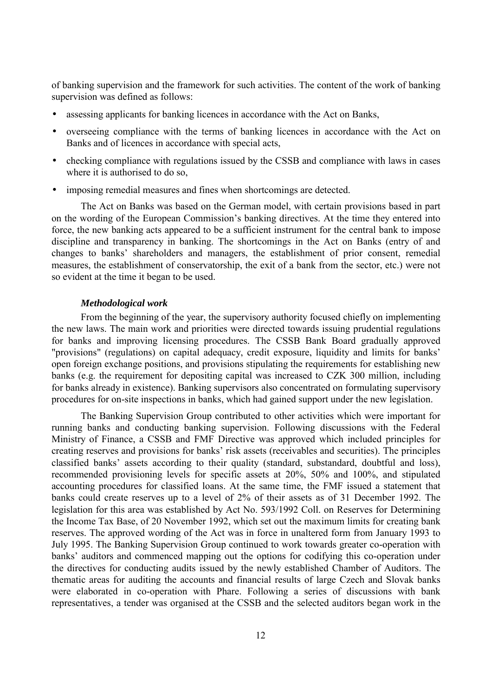of banking supervision and the framework for such activities. The content of the work of banking supervision was defined as follows:

- assessing applicants for banking licences in accordance with the Act on Banks,
- overseeing compliance with the terms of banking licences in accordance with the Act on Banks and of licences in accordance with special acts,
- checking compliance with regulations issued by the CSSB and compliance with laws in cases where it is authorised to do so,
- imposing remedial measures and fines when shortcomings are detected.

The Act on Banks was based on the German model, with certain provisions based in part on the wording of the European Commission's banking directives. At the time they entered into force, the new banking acts appeared to be a sufficient instrument for the central bank to impose discipline and transparency in banking. The shortcomings in the Act on Banks (entry of and changes to banks' shareholders and managers, the establishment of prior consent, remedial measures, the establishment of conservatorship, the exit of a bank from the sector, etc.) were not so evident at the time it began to be used.

#### *Methodological work*

From the beginning of the year, the supervisory authority focused chiefly on implementing the new laws. The main work and priorities were directed towards issuing prudential regulations for banks and improving licensing procedures. The CSSB Bank Board gradually approved "provisions" (regulations) on capital adequacy, credit exposure, liquidity and limits for banks' open foreign exchange positions, and provisions stipulating the requirements for establishing new banks (e.g. the requirement for depositing capital was increased to CZK 300 million, including for banks already in existence). Banking supervisors also concentrated on formulating supervisory procedures for on-site inspections in banks, which had gained support under the new legislation.

The Banking Supervision Group contributed to other activities which were important for running banks and conducting banking supervision. Following discussions with the Federal Ministry of Finance, a CSSB and FMF Directive was approved which included principles for creating reserves and provisions for banks' risk assets (receivables and securities). The principles classified banks' assets according to their quality (standard, substandard, doubtful and loss), recommended provisioning levels for specific assets at 20%, 50% and 100%, and stipulated accounting procedures for classified loans. At the same time, the FMF issued a statement that banks could create reserves up to a level of 2% of their assets as of 31 December 1992. The legislation for this area was established by Act No. 593/1992 Coll. on Reserves for Determining the Income Tax Base, of 20 November 1992, which set out the maximum limits for creating bank reserves. The approved wording of the Act was in force in unaltered form from January 1993 to July 1995. The Banking Supervision Group continued to work towards greater co-operation with banks' auditors and commenced mapping out the options for codifying this co-operation under the directives for conducting audits issued by the newly established Chamber of Auditors. The thematic areas for auditing the accounts and financial results of large Czech and Slovak banks were elaborated in co-operation with Phare. Following a series of discussions with bank representatives, a tender was organised at the CSSB and the selected auditors began work in the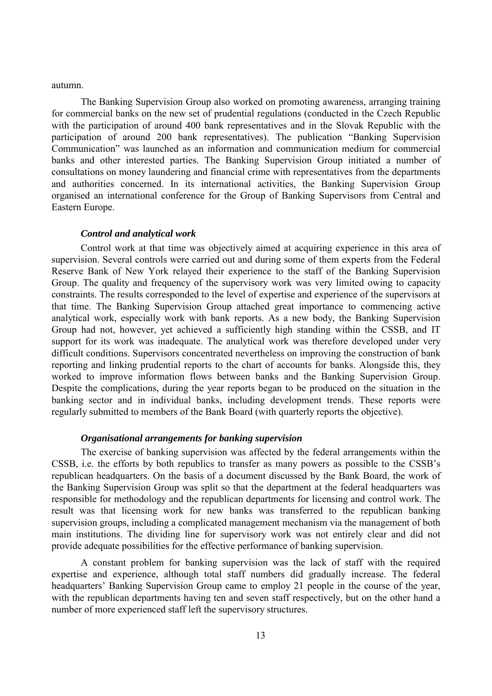#### autumn.

The Banking Supervision Group also worked on promoting awareness, arranging training for commercial banks on the new set of prudential regulations (conducted in the Czech Republic with the participation of around 400 bank representatives and in the Slovak Republic with the participation of around 200 bank representatives). The publication "Banking Supervision Communication" was launched as an information and communication medium for commercial banks and other interested parties. The Banking Supervision Group initiated a number of consultations on money laundering and financial crime with representatives from the departments and authorities concerned. In its international activities, the Banking Supervision Group organised an international conference for the Group of Banking Supervisors from Central and Eastern Europe.

#### *Control and analytical work*

Control work at that time was objectively aimed at acquiring experience in this area of supervision. Several controls were carried out and during some of them experts from the Federal Reserve Bank of New York relayed their experience to the staff of the Banking Supervision Group. The quality and frequency of the supervisory work was very limited owing to capacity constraints. The results corresponded to the level of expertise and experience of the supervisors at that time. The Banking Supervision Group attached great importance to commencing active analytical work, especially work with bank reports. As a new body, the Banking Supervision Group had not, however, yet achieved a sufficiently high standing within the CSSB, and IT support for its work was inadequate. The analytical work was therefore developed under very difficult conditions. Supervisors concentrated nevertheless on improving the construction of bank reporting and linking prudential reports to the chart of accounts for banks. Alongside this, they worked to improve information flows between banks and the Banking Supervision Group. Despite the complications, during the year reports began to be produced on the situation in the banking sector and in individual banks, including development trends. These reports were regularly submitted to members of the Bank Board (with quarterly reports the objective).

#### *Organisational arrangements for banking supervision*

The exercise of banking supervision was affected by the federal arrangements within the CSSB, i.e. the efforts by both republics to transfer as many powers as possible to the CSSB's republican headquarters. On the basis of a document discussed by the Bank Board, the work of the Banking Supervision Group was split so that the department at the federal headquarters was responsible for methodology and the republican departments for licensing and control work. The result was that licensing work for new banks was transferred to the republican banking supervision groups, including a complicated management mechanism via the management of both main institutions. The dividing line for supervisory work was not entirely clear and did not provide adequate possibilities for the effective performance of banking supervision.

A constant problem for banking supervision was the lack of staff with the required expertise and experience, although total staff numbers did gradually increase. The federal headquarters' Banking Supervision Group came to employ 21 people in the course of the year, with the republican departments having ten and seven staff respectively, but on the other hand a number of more experienced staff left the supervisory structures.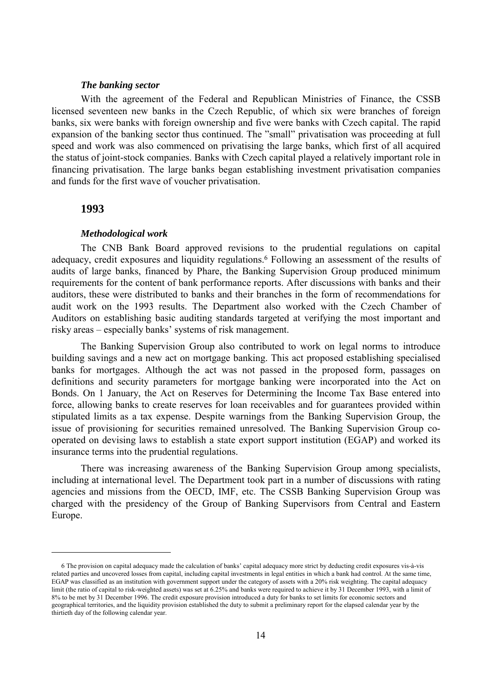#### *The banking sector*

With the agreement of the Federal and Republican Ministries of Finance, the CSSB licensed seventeen new banks in the Czech Republic, of which six were branches of foreign banks, six were banks with foreign ownership and five were banks with Czech capital. The rapid expansion of the banking sector thus continued. The "small" privatisation was proceeding at full speed and work was also commenced on privatising the large banks, which first of all acquired the status of joint-stock companies. Banks with Czech capital played a relatively important role in financing privatisation. The large banks began establishing investment privatisation companies and funds for the first wave of voucher privatisation.

#### **1993**

 $\overline{a}$ 

#### *Methodological work*

The CNB Bank Board approved revisions to the prudential regulations on capital adequacy, credit exposures and liquidity regulations.6 Following an assessment of the results of audits of large banks, financed by Phare, the Banking Supervision Group produced minimum requirements for the content of bank performance reports. After discussions with banks and their auditors, these were distributed to banks and their branches in the form of recommendations for audit work on the 1993 results. The Department also worked with the Czech Chamber of Auditors on establishing basic auditing standards targeted at verifying the most important and risky areas – especially banks' systems of risk management.

The Banking Supervision Group also contributed to work on legal norms to introduce building savings and a new act on mortgage banking. This act proposed establishing specialised banks for mortgages. Although the act was not passed in the proposed form, passages on definitions and security parameters for mortgage banking were incorporated into the Act on Bonds. On 1 January, the Act on Reserves for Determining the Income Tax Base entered into force, allowing banks to create reserves for loan receivables and for guarantees provided within stipulated limits as a tax expense. Despite warnings from the Banking Supervision Group, the issue of provisioning for securities remained unresolved. The Banking Supervision Group cooperated on devising laws to establish a state export support institution (EGAP) and worked its insurance terms into the prudential regulations.

There was increasing awareness of the Banking Supervision Group among specialists, including at international level. The Department took part in a number of discussions with rating agencies and missions from the OECD, IMF, etc. The CSSB Banking Supervision Group was charged with the presidency of the Group of Banking Supervisors from Central and Eastern Europe.

<sup>6</sup> The provision on capital adequacy made the calculation of banks' capital adequacy more strict by deducting credit exposures vis-à-vis related parties and uncovered losses from capital, including capital investments in legal entities in which a bank had control. At the same time, EGAP was classified as an institution with government support under the category of assets with a 20% risk weighting. The capital adequacy limit (the ratio of capital to risk-weighted assets) was set at 6.25% and banks were required to achieve it by 31 December 1993, with a limit of 8% to be met by 31 December 1996. The credit exposure provision introduced a duty for banks to set limits for economic sectors and geographical territories, and the liquidity provision established the duty to submit a preliminary report for the elapsed calendar year by the thirtieth day of the following calendar year.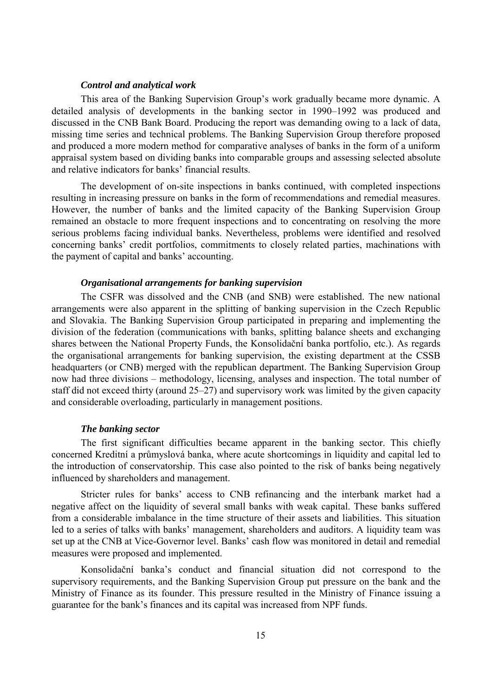#### *Control and analytical work*

This area of the Banking Supervision Group's work gradually became more dynamic. A detailed analysis of developments in the banking sector in 1990–1992 was produced and discussed in the CNB Bank Board. Producing the report was demanding owing to a lack of data, missing time series and technical problems. The Banking Supervision Group therefore proposed and produced a more modern method for comparative analyses of banks in the form of a uniform appraisal system based on dividing banks into comparable groups and assessing selected absolute and relative indicators for banks' financial results.

The development of on-site inspections in banks continued, with completed inspections resulting in increasing pressure on banks in the form of recommendations and remedial measures. However, the number of banks and the limited capacity of the Banking Supervision Group remained an obstacle to more frequent inspections and to concentrating on resolving the more serious problems facing individual banks. Nevertheless, problems were identified and resolved concerning banks' credit portfolios, commitments to closely related parties, machinations with the payment of capital and banks' accounting.

#### *Organisational arrangements for banking supervision*

The CSFR was dissolved and the CNB (and SNB) were established. The new national arrangements were also apparent in the splitting of banking supervision in the Czech Republic and Slovakia. The Banking Supervision Group participated in preparing and implementing the division of the federation (communications with banks, splitting balance sheets and exchanging shares between the National Property Funds, the Konsolidační banka portfolio, etc.). As regards the organisational arrangements for banking supervision, the existing department at the CSSB headquarters (or CNB) merged with the republican department. The Banking Supervision Group now had three divisions – methodology, licensing, analyses and inspection. The total number of staff did not exceed thirty (around 25–27) and supervisory work was limited by the given capacity and considerable overloading, particularly in management positions.

#### *The banking sector*

The first significant difficulties became apparent in the banking sector. This chiefly concerned Kreditní a průmyslová banka, where acute shortcomings in liquidity and capital led to the introduction of conservatorship. This case also pointed to the risk of banks being negatively influenced by shareholders and management.

Stricter rules for banks' access to CNB refinancing and the interbank market had a negative affect on the liquidity of several small banks with weak capital. These banks suffered from a considerable imbalance in the time structure of their assets and liabilities. This situation led to a series of talks with banks' management, shareholders and auditors. A liquidity team was set up at the CNB at Vice-Governor level. Banks' cash flow was monitored in detail and remedial measures were proposed and implemented.

Konsolidační banka's conduct and financial situation did not correspond to the supervisory requirements, and the Banking Supervision Group put pressure on the bank and the Ministry of Finance as its founder. This pressure resulted in the Ministry of Finance issuing a guarantee for the bank's finances and its capital was increased from NPF funds.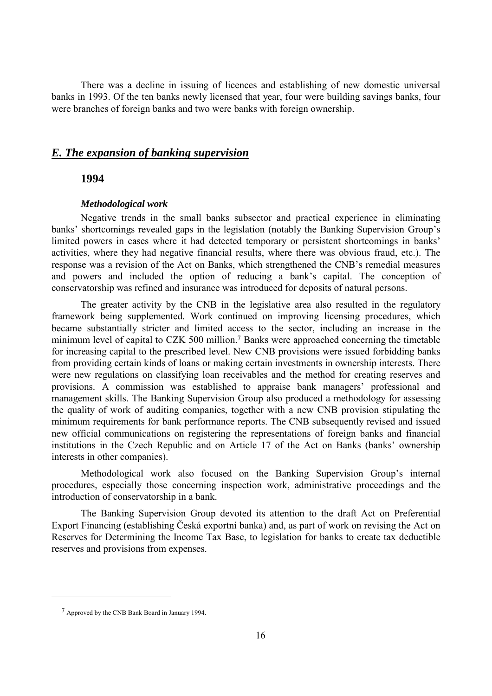There was a decline in issuing of licences and establishing of new domestic universal banks in 1993. Of the ten banks newly licensed that year, four were building savings banks, four were branches of foreign banks and two were banks with foreign ownership.

## *E. The expansion of banking supervision*

## **1994**

#### *Methodological work*

Negative trends in the small banks subsector and practical experience in eliminating banks' shortcomings revealed gaps in the legislation (notably the Banking Supervision Group's limited powers in cases where it had detected temporary or persistent shortcomings in banks' activities, where they had negative financial results, where there was obvious fraud, etc.). The response was a revision of the Act on Banks, which strengthened the CNB's remedial measures and powers and included the option of reducing a bank's capital. The conception of conservatorship was refined and insurance was introduced for deposits of natural persons.

The greater activity by the CNB in the legislative area also resulted in the regulatory framework being supplemented. Work continued on improving licensing procedures, which became substantially stricter and limited access to the sector, including an increase in the minimum level of capital to CZK 500 million.7 Banks were approached concerning the timetable for increasing capital to the prescribed level. New CNB provisions were issued forbidding banks from providing certain kinds of loans or making certain investments in ownership interests. There were new regulations on classifying loan receivables and the method for creating reserves and provisions. A commission was established to appraise bank managers' professional and management skills. The Banking Supervision Group also produced a methodology for assessing the quality of work of auditing companies, together with a new CNB provision stipulating the minimum requirements for bank performance reports. The CNB subsequently revised and issued new official communications on registering the representations of foreign banks and financial institutions in the Czech Republic and on Article 17 of the Act on Banks (banks' ownership interests in other companies).

Methodological work also focused on the Banking Supervision Group's internal procedures, especially those concerning inspection work, administrative proceedings and the introduction of conservatorship in a bank.

The Banking Supervision Group devoted its attention to the draft Act on Preferential Export Financing (establishing Česká exportní banka) and, as part of work on revising the Act on Reserves for Determining the Income Tax Base, to legislation for banks to create tax deductible reserves and provisions from expenses.

 $\overline{a}$ 

<sup>7</sup> Approved by the CNB Bank Board in January 1994.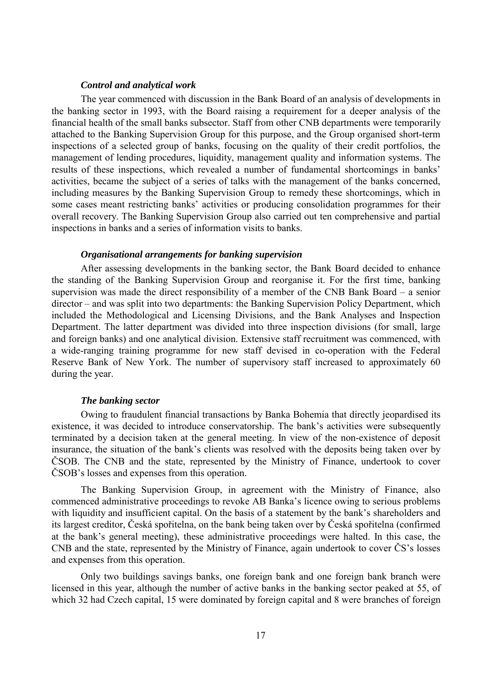#### *Control and analytical work*

The year commenced with discussion in the Bank Board of an analysis of developments in the banking sector in 1993, with the Board raising a requirement for a deeper analysis of the financial health of the small banks subsector. Staff from other CNB departments were temporarily attached to the Banking Supervision Group for this purpose, and the Group organised short-term inspections of a selected group of banks, focusing on the quality of their credit portfolios, the management of lending procedures, liquidity, management quality and information systems. The results of these inspections, which revealed a number of fundamental shortcomings in banks' activities, became the subject of a series of talks with the management of the banks concerned, including measures by the Banking Supervision Group to remedy these shortcomings, which in some cases meant restricting banks' activities or producing consolidation programmes for their overall recovery. The Banking Supervision Group also carried out ten comprehensive and partial inspections in banks and a series of information visits to banks.

#### *Organisational arrangements for banking supervision*

After assessing developments in the banking sector, the Bank Board decided to enhance the standing of the Banking Supervision Group and reorganise it. For the first time, banking supervision was made the direct responsibility of a member of the CNB Bank Board – a senior director – and was split into two departments: the Banking Supervision Policy Department, which included the Methodological and Licensing Divisions, and the Bank Analyses and Inspection Department. The latter department was divided into three inspection divisions (for small, large and foreign banks) and one analytical division. Extensive staff recruitment was commenced, with a wide-ranging training programme for new staff devised in co-operation with the Federal Reserve Bank of New York. The number of supervisory staff increased to approximately 60 during the year.

#### *The banking sector*

Owing to fraudulent financial transactions by Banka Bohemia that directly jeopardised its existence, it was decided to introduce conservatorship. The bank's activities were subsequently terminated by a decision taken at the general meeting. In view of the non-existence of deposit insurance, the situation of the bank's clients was resolved with the deposits being taken over by ČSOB. The CNB and the state, represented by the Ministry of Finance, undertook to cover ČSOB's losses and expenses from this operation.

The Banking Supervision Group, in agreement with the Ministry of Finance, also commenced administrative proceedings to revoke AB Banka's licence owing to serious problems with liquidity and insufficient capital. On the basis of a statement by the bank's shareholders and its largest creditor, Česká spořitelna, on the bank being taken over by Česká spořitelna (confirmed at the bank's general meeting), these administrative proceedings were halted. In this case, the CNB and the state, represented by the Ministry of Finance, again undertook to cover ČS's losses and expenses from this operation.

Only two buildings savings banks, one foreign bank and one foreign bank branch were licensed in this year, although the number of active banks in the banking sector peaked at 55, of which 32 had Czech capital, 15 were dominated by foreign capital and 8 were branches of foreign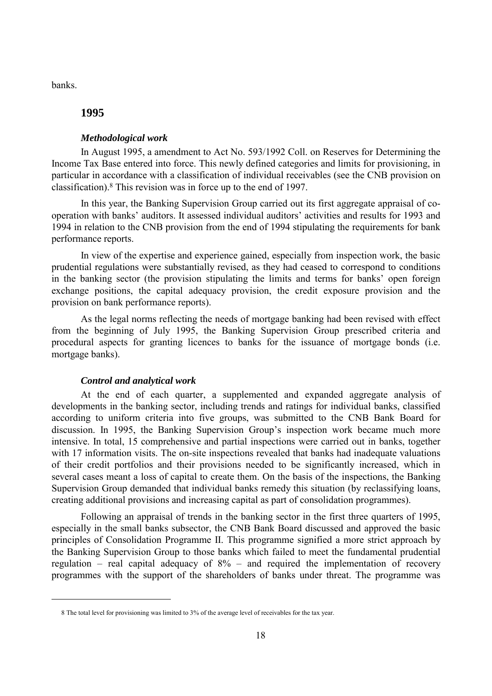banks.

 $\overline{a}$ 

## **1995**

#### *Methodological work*

In August 1995, a amendment to Act No. 593/1992 Coll. on Reserves for Determining the Income Tax Base entered into force. This newly defined categories and limits for provisioning, in particular in accordance with a classification of individual receivables (see the CNB provision on classification).8 This revision was in force up to the end of 1997.

In this year, the Banking Supervision Group carried out its first aggregate appraisal of cooperation with banks' auditors. It assessed individual auditors' activities and results for 1993 and 1994 in relation to the CNB provision from the end of 1994 stipulating the requirements for bank performance reports.

In view of the expertise and experience gained, especially from inspection work, the basic prudential regulations were substantially revised, as they had ceased to correspond to conditions in the banking sector (the provision stipulating the limits and terms for banks' open foreign exchange positions, the capital adequacy provision, the credit exposure provision and the provision on bank performance reports).

As the legal norms reflecting the needs of mortgage banking had been revised with effect from the beginning of July 1995, the Banking Supervision Group prescribed criteria and procedural aspects for granting licences to banks for the issuance of mortgage bonds (i.e. mortgage banks).

#### *Control and analytical work*

At the end of each quarter, a supplemented and expanded aggregate analysis of developments in the banking sector, including trends and ratings for individual banks, classified according to uniform criteria into five groups, was submitted to the CNB Bank Board for discussion. In 1995, the Banking Supervision Group's inspection work became much more intensive. In total, 15 comprehensive and partial inspections were carried out in banks, together with 17 information visits. The on-site inspections revealed that banks had inadequate valuations of their credit portfolios and their provisions needed to be significantly increased, which in several cases meant a loss of capital to create them. On the basis of the inspections, the Banking Supervision Group demanded that individual banks remedy this situation (by reclassifying loans, creating additional provisions and increasing capital as part of consolidation programmes).

Following an appraisal of trends in the banking sector in the first three quarters of 1995, especially in the small banks subsector, the CNB Bank Board discussed and approved the basic principles of Consolidation Programme II. This programme signified a more strict approach by the Banking Supervision Group to those banks which failed to meet the fundamental prudential regulation – real capital adequacy of  $8\%$  – and required the implementation of recovery programmes with the support of the shareholders of banks under threat. The programme was

<sup>8</sup> The total level for provisioning was limited to 3% of the average level of receivables for the tax year.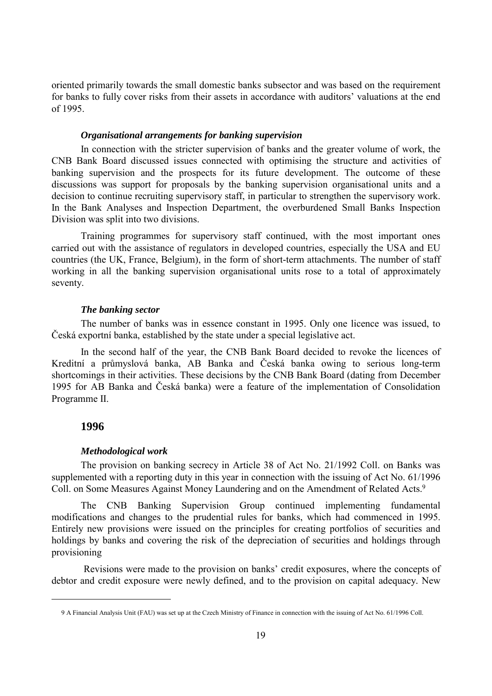oriented primarily towards the small domestic banks subsector and was based on the requirement for banks to fully cover risks from their assets in accordance with auditors' valuations at the end of 1995.

#### *Organisational arrangements for banking supervision*

In connection with the stricter supervision of banks and the greater volume of work, the CNB Bank Board discussed issues connected with optimising the structure and activities of banking supervision and the prospects for its future development. The outcome of these discussions was support for proposals by the banking supervision organisational units and a decision to continue recruiting supervisory staff, in particular to strengthen the supervisory work. In the Bank Analyses and Inspection Department, the overburdened Small Banks Inspection Division was split into two divisions.

Training programmes for supervisory staff continued, with the most important ones carried out with the assistance of regulators in developed countries, especially the USA and EU countries (the UK, France, Belgium), in the form of short-term attachments. The number of staff working in all the banking supervision organisational units rose to a total of approximately seventy.

#### *The banking sector*

The number of banks was in essence constant in 1995. Only one licence was issued, to Česká exportní banka, established by the state under a special legislative act.

In the second half of the year, the CNB Bank Board decided to revoke the licences of Kreditní a průmyslová banka, AB Banka and Česká banka owing to serious long-term shortcomings in their activities. These decisions by the CNB Bank Board (dating from December 1995 for AB Banka and Česká banka) were a feature of the implementation of Consolidation Programme II.

## **1996**

 $\overline{a}$ 

### *Methodological work*

The provision on banking secrecy in Article 38 of Act No. 21/1992 Coll. on Banks was supplemented with a reporting duty in this year in connection with the issuing of Act No. 61/1996 Coll. on Some Measures Against Money Laundering and on the Amendment of Related Acts.9

The CNB Banking Supervision Group continued implementing fundamental modifications and changes to the prudential rules for banks, which had commenced in 1995. Entirely new provisions were issued on the principles for creating portfolios of securities and holdings by banks and covering the risk of the depreciation of securities and holdings through provisioning

 Revisions were made to the provision on banks' credit exposures, where the concepts of debtor and credit exposure were newly defined, and to the provision on capital adequacy. New

<sup>9</sup> A Financial Analysis Unit (FAU) was set up at the Czech Ministry of Finance in connection with the issuing of Act No. 61/1996 Coll.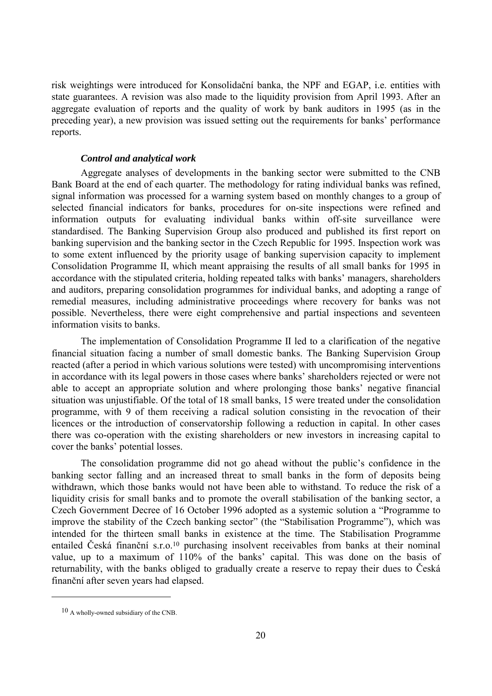risk weightings were introduced for Konsolidační banka, the NPF and EGAP, i.e. entities with state guarantees. A revision was also made to the liquidity provision from April 1993. After an aggregate evaluation of reports and the quality of work by bank auditors in 1995 (as in the preceding year), a new provision was issued setting out the requirements for banks' performance reports.

#### *Control and analytical work*

Aggregate analyses of developments in the banking sector were submitted to the CNB Bank Board at the end of each quarter. The methodology for rating individual banks was refined, signal information was processed for a warning system based on monthly changes to a group of selected financial indicators for banks, procedures for on-site inspections were refined and information outputs for evaluating individual banks within off-site surveillance were standardised. The Banking Supervision Group also produced and published its first report on banking supervision and the banking sector in the Czech Republic for 1995. Inspection work was to some extent influenced by the priority usage of banking supervision capacity to implement Consolidation Programme II, which meant appraising the results of all small banks for 1995 in accordance with the stipulated criteria, holding repeated talks with banks' managers, shareholders and auditors, preparing consolidation programmes for individual banks, and adopting a range of remedial measures, including administrative proceedings where recovery for banks was not possible. Nevertheless, there were eight comprehensive and partial inspections and seventeen information visits to banks.

The implementation of Consolidation Programme II led to a clarification of the negative financial situation facing a number of small domestic banks. The Banking Supervision Group reacted (after a period in which various solutions were tested) with uncompromising interventions in accordance with its legal powers in those cases where banks' shareholders rejected or were not able to accept an appropriate solution and where prolonging those banks' negative financial situation was unjustifiable. Of the total of 18 small banks, 15 were treated under the consolidation programme, with 9 of them receiving a radical solution consisting in the revocation of their licences or the introduction of conservatorship following a reduction in capital. In other cases there was co-operation with the existing shareholders or new investors in increasing capital to cover the banks' potential losses.

The consolidation programme did not go ahead without the public's confidence in the banking sector falling and an increased threat to small banks in the form of deposits being withdrawn, which those banks would not have been able to withstand. To reduce the risk of a liquidity crisis for small banks and to promote the overall stabilisation of the banking sector, a Czech Government Decree of 16 October 1996 adopted as a systemic solution a "Programme to improve the stability of the Czech banking sector" (the "Stabilisation Programme"), which was intended for the thirteen small banks in existence at the time. The Stabilisation Programme entailed Česká finanční s.r.o.<sup>10</sup> purchasing insolvent receivables from banks at their nominal value, up to a maximum of 110% of the banks' capital. This was done on the basis of returnability, with the banks obliged to gradually create a reserve to repay their dues to Česká finanční after seven years had elapsed.

 $\overline{a}$ 

 $10$  A wholly-owned subsidiary of the CNB.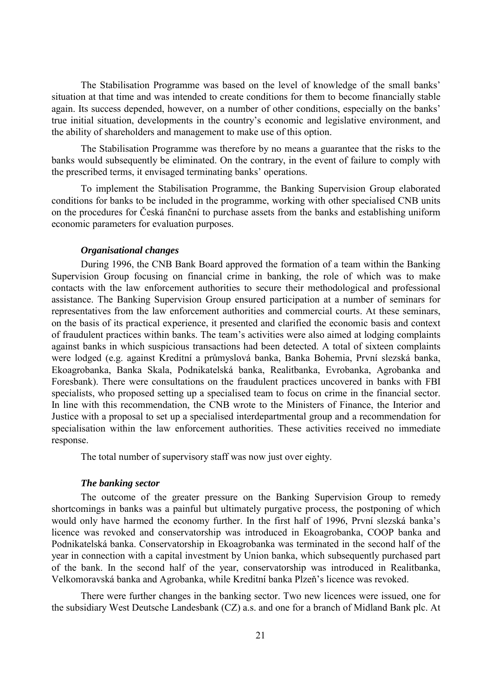The Stabilisation Programme was based on the level of knowledge of the small banks' situation at that time and was intended to create conditions for them to become financially stable again. Its success depended, however, on a number of other conditions, especially on the banks' true initial situation, developments in the country's economic and legislative environment, and the ability of shareholders and management to make use of this option.

The Stabilisation Programme was therefore by no means a guarantee that the risks to the banks would subsequently be eliminated. On the contrary, in the event of failure to comply with the prescribed terms, it envisaged terminating banks' operations.

To implement the Stabilisation Programme, the Banking Supervision Group elaborated conditions for banks to be included in the programme, working with other specialised CNB units on the procedures for Česká finanční to purchase assets from the banks and establishing uniform economic parameters for evaluation purposes.

#### *Organisational changes*

During 1996, the CNB Bank Board approved the formation of a team within the Banking Supervision Group focusing on financial crime in banking, the role of which was to make contacts with the law enforcement authorities to secure their methodological and professional assistance. The Banking Supervision Group ensured participation at a number of seminars for representatives from the law enforcement authorities and commercial courts. At these seminars, on the basis of its practical experience, it presented and clarified the economic basis and context of fraudulent practices within banks. The team's activities were also aimed at lodging complaints against banks in which suspicious transactions had been detected. A total of sixteen complaints were lodged (e.g. against Kreditní a průmyslová banka, Banka Bohemia, První slezská banka, Ekoagrobanka, Banka Skala, Podnikatelská banka, Realitbanka, Evrobanka, Agrobanka and Foresbank). There were consultations on the fraudulent practices uncovered in banks with FBI specialists, who proposed setting up a specialised team to focus on crime in the financial sector. In line with this recommendation, the CNB wrote to the Ministers of Finance, the Interior and Justice with a proposal to set up a specialised interdepartmental group and a recommendation for specialisation within the law enforcement authorities. These activities received no immediate response.

The total number of supervisory staff was now just over eighty.

#### *The banking sector*

The outcome of the greater pressure on the Banking Supervision Group to remedy shortcomings in banks was a painful but ultimately purgative process, the postponing of which would only have harmed the economy further. In the first half of 1996, První slezská banka's licence was revoked and conservatorship was introduced in Ekoagrobanka, COOP banka and Podnikatelská banka. Conservatorship in Ekoagrobanka was terminated in the second half of the year in connection with a capital investment by Union banka, which subsequently purchased part of the bank. In the second half of the year, conservatorship was introduced in Realitbanka, Velkomoravská banka and Agrobanka, while Kreditní banka Plzeň's licence was revoked.

There were further changes in the banking sector. Two new licences were issued, one for the subsidiary West Deutsche Landesbank (CZ) a.s. and one for a branch of Midland Bank plc. At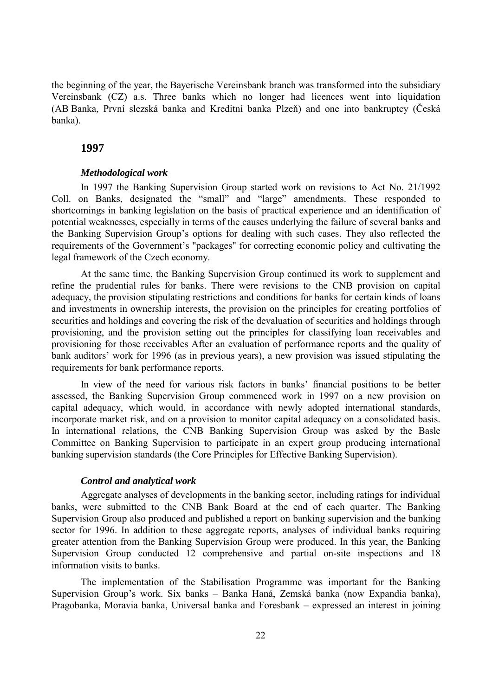the beginning of the year, the Bayerische Vereinsbank branch was transformed into the subsidiary Vereinsbank (CZ) a.s. Three banks which no longer had licences went into liquidation (AB Banka, První slezská banka and Kreditní banka Plzeň) and one into bankruptcy (Česká banka).

#### **1997**

#### *Methodological work*

In 1997 the Banking Supervision Group started work on revisions to Act No. 21/1992 Coll. on Banks, designated the "small" and "large" amendments. These responded to shortcomings in banking legislation on the basis of practical experience and an identification of potential weaknesses, especially in terms of the causes underlying the failure of several banks and the Banking Supervision Group's options for dealing with such cases. They also reflected the requirements of the Government's "packages" for correcting economic policy and cultivating the legal framework of the Czech economy.

At the same time, the Banking Supervision Group continued its work to supplement and refine the prudential rules for banks. There were revisions to the CNB provision on capital adequacy, the provision stipulating restrictions and conditions for banks for certain kinds of loans and investments in ownership interests, the provision on the principles for creating portfolios of securities and holdings and covering the risk of the devaluation of securities and holdings through provisioning, and the provision setting out the principles for classifying loan receivables and provisioning for those receivables After an evaluation of performance reports and the quality of bank auditors' work for 1996 (as in previous years), a new provision was issued stipulating the requirements for bank performance reports.

In view of the need for various risk factors in banks' financial positions to be better assessed, the Banking Supervision Group commenced work in 1997 on a new provision on capital adequacy, which would, in accordance with newly adopted international standards, incorporate market risk, and on a provision to monitor capital adequacy on a consolidated basis. In international relations, the CNB Banking Supervision Group was asked by the Basle Committee on Banking Supervision to participate in an expert group producing international banking supervision standards (the Core Principles for Effective Banking Supervision).

#### *Control and analytical work*

Aggregate analyses of developments in the banking sector, including ratings for individual banks, were submitted to the CNB Bank Board at the end of each quarter. The Banking Supervision Group also produced and published a report on banking supervision and the banking sector for 1996. In addition to these aggregate reports, analyses of individual banks requiring greater attention from the Banking Supervision Group were produced. In this year, the Banking Supervision Group conducted 12 comprehensive and partial on-site inspections and 18 information visits to banks.

The implementation of the Stabilisation Programme was important for the Banking Supervision Group's work. Six banks – Banka Haná, Zemská banka (now Expandia banka), Pragobanka, Moravia banka, Universal banka and Foresbank – expressed an interest in joining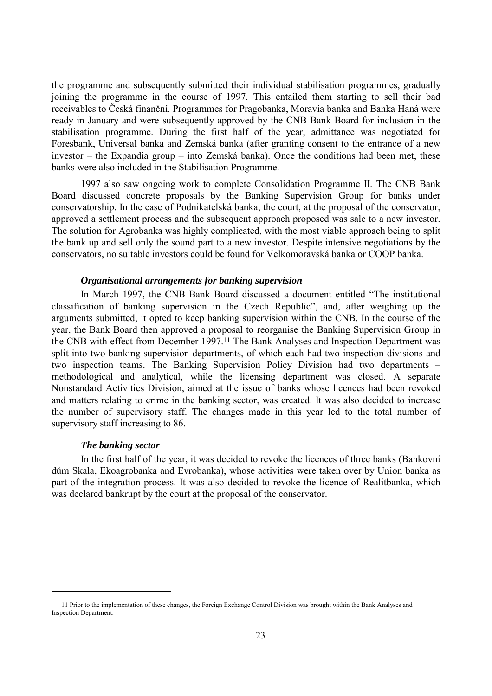the programme and subsequently submitted their individual stabilisation programmes, gradually joining the programme in the course of 1997. This entailed them starting to sell their bad receivables to Česká finanční. Programmes for Pragobanka, Moravia banka and Banka Haná were ready in January and were subsequently approved by the CNB Bank Board for inclusion in the stabilisation programme. During the first half of the year, admittance was negotiated for Foresbank, Universal banka and Zemská banka (after granting consent to the entrance of a new investor – the Expandia group – into Zemská banka). Once the conditions had been met, these banks were also included in the Stabilisation Programme.

1997 also saw ongoing work to complete Consolidation Programme II. The CNB Bank Board discussed concrete proposals by the Banking Supervision Group for banks under conservatorship. In the case of Podnikatelská banka, the court, at the proposal of the conservator, approved a settlement process and the subsequent approach proposed was sale to a new investor. The solution for Agrobanka was highly complicated, with the most viable approach being to split the bank up and sell only the sound part to a new investor. Despite intensive negotiations by the conservators, no suitable investors could be found for Velkomoravská banka or COOP banka.

## *Organisational arrangements for banking supervision*

In March 1997, the CNB Bank Board discussed a document entitled "The institutional classification of banking supervision in the Czech Republic", and, after weighing up the arguments submitted, it opted to keep banking supervision within the CNB. In the course of the year, the Bank Board then approved a proposal to reorganise the Banking Supervision Group in the CNB with effect from December 1997.11 The Bank Analyses and Inspection Department was split into two banking supervision departments, of which each had two inspection divisions and two inspection teams. The Banking Supervision Policy Division had two departments – methodological and analytical, while the licensing department was closed. A separate Nonstandard Activities Division, aimed at the issue of banks whose licences had been revoked and matters relating to crime in the banking sector, was created. It was also decided to increase the number of supervisory staff. The changes made in this year led to the total number of supervisory staff increasing to 86.

#### *The banking sector*

 $\overline{a}$ 

In the first half of the year, it was decided to revoke the licences of three banks (Bankovní dům Skala, Ekoagrobanka and Evrobanka), whose activities were taken over by Union banka as part of the integration process. It was also decided to revoke the licence of Realitbanka, which was declared bankrupt by the court at the proposal of the conservator.

<sup>11</sup> Prior to the implementation of these changes, the Foreign Exchange Control Division was brought within the Bank Analyses and Inspection Department.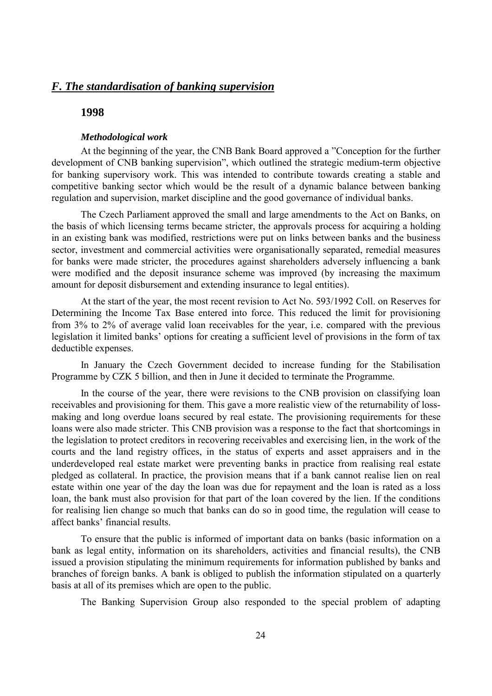## *F. The standardisation of banking supervision*

#### **1998**

#### *Methodological work*

At the beginning of the year, the CNB Bank Board approved a "Conception for the further development of CNB banking supervision", which outlined the strategic medium-term objective for banking supervisory work. This was intended to contribute towards creating a stable and competitive banking sector which would be the result of a dynamic balance between banking regulation and supervision, market discipline and the good governance of individual banks.

The Czech Parliament approved the small and large amendments to the Act on Banks, on the basis of which licensing terms became stricter, the approvals process for acquiring a holding in an existing bank was modified, restrictions were put on links between banks and the business sector, investment and commercial activities were organisationally separated, remedial measures for banks were made stricter, the procedures against shareholders adversely influencing a bank were modified and the deposit insurance scheme was improved (by increasing the maximum amount for deposit disbursement and extending insurance to legal entities).

At the start of the year, the most recent revision to Act No. 593/1992 Coll. on Reserves for Determining the Income Tax Base entered into force. This reduced the limit for provisioning from 3% to 2% of average valid loan receivables for the year, i.e. compared with the previous legislation it limited banks' options for creating a sufficient level of provisions in the form of tax deductible expenses.

In January the Czech Government decided to increase funding for the Stabilisation Programme by CZK 5 billion, and then in June it decided to terminate the Programme.

In the course of the year, there were revisions to the CNB provision on classifying loan receivables and provisioning for them. This gave a more realistic view of the returnability of lossmaking and long overdue loans secured by real estate. The provisioning requirements for these loans were also made stricter. This CNB provision was a response to the fact that shortcomings in the legislation to protect creditors in recovering receivables and exercising lien, in the work of the courts and the land registry offices, in the status of experts and asset appraisers and in the underdeveloped real estate market were preventing banks in practice from realising real estate pledged as collateral. In practice, the provision means that if a bank cannot realise lien on real estate within one year of the day the loan was due for repayment and the loan is rated as a loss loan, the bank must also provision for that part of the loan covered by the lien. If the conditions for realising lien change so much that banks can do so in good time, the regulation will cease to affect banks' financial results.

To ensure that the public is informed of important data on banks (basic information on a bank as legal entity, information on its shareholders, activities and financial results), the CNB issued a provision stipulating the minimum requirements for information published by banks and branches of foreign banks. A bank is obliged to publish the information stipulated on a quarterly basis at all of its premises which are open to the public.

The Banking Supervision Group also responded to the special problem of adapting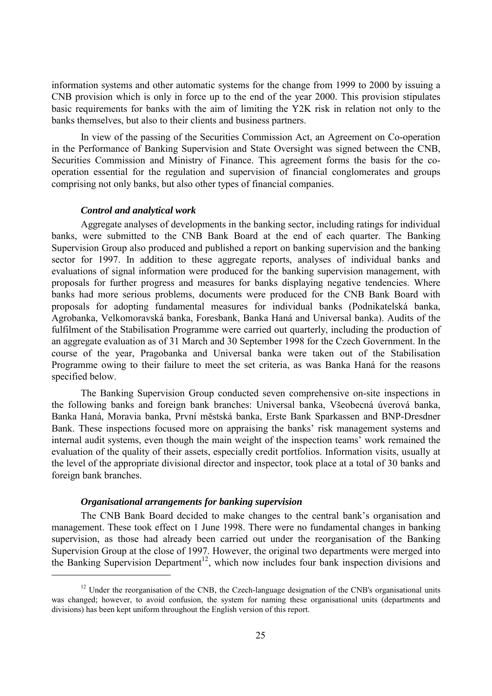information systems and other automatic systems for the change from 1999 to 2000 by issuing a CNB provision which is only in force up to the end of the year 2000. This provision stipulates basic requirements for banks with the aim of limiting the Y2K risk in relation not only to the banks themselves, but also to their clients and business partners.

In view of the passing of the Securities Commission Act, an Agreement on Co-operation in the Performance of Banking Supervision and State Oversight was signed between the CNB, Securities Commission and Ministry of Finance. This agreement forms the basis for the cooperation essential for the regulation and supervision of financial conglomerates and groups comprising not only banks, but also other types of financial companies.

#### *Control and analytical work*

Aggregate analyses of developments in the banking sector, including ratings for individual banks, were submitted to the CNB Bank Board at the end of each quarter. The Banking Supervision Group also produced and published a report on banking supervision and the banking sector for 1997. In addition to these aggregate reports, analyses of individual banks and evaluations of signal information were produced for the banking supervision management, with proposals for further progress and measures for banks displaying negative tendencies. Where banks had more serious problems, documents were produced for the CNB Bank Board with proposals for adopting fundamental measures for individual banks (Podnikatelská banka, Agrobanka, Velkomoravská banka, Foresbank, Banka Haná and Universal banka). Audits of the fulfilment of the Stabilisation Programme were carried out quarterly, including the production of an aggregate evaluation as of 31 March and 30 September 1998 for the Czech Government. In the course of the year, Pragobanka and Universal banka were taken out of the Stabilisation Programme owing to their failure to meet the set criteria, as was Banka Haná for the reasons specified below.

The Banking Supervision Group conducted seven comprehensive on-site inspections in the following banks and foreign bank branches: Universal banka, Všeobecná úverová banka, Banka Haná, Moravia banka, První městská banka, Erste Bank Sparkassen and BNP-Dresdner Bank. These inspections focused more on appraising the banks' risk management systems and internal audit systems, even though the main weight of the inspection teams' work remained the evaluation of the quality of their assets, especially credit portfolios. Information visits, usually at the level of the appropriate divisional director and inspector, took place at a total of 30 banks and foreign bank branches.

### *Organisational arrangements for banking supervision*

 $\overline{a}$ 

The CNB Bank Board decided to make changes to the central bank's organisation and management. These took effect on 1 June 1998. There were no fundamental changes in banking supervision, as those had already been carried out under the reorganisation of the Banking Supervision Group at the close of 1997. However, the original two departments were merged into the Banking Supervision Department<sup>12</sup>, which now includes four bank inspection divisions and

<sup>&</sup>lt;sup>12</sup> Under the reorganisation of the CNB, the Czech-language designation of the CNB's organisational units was changed; however, to avoid confusion, the system for naming these organisational units (departments and divisions) has been kept uniform throughout the English version of this report.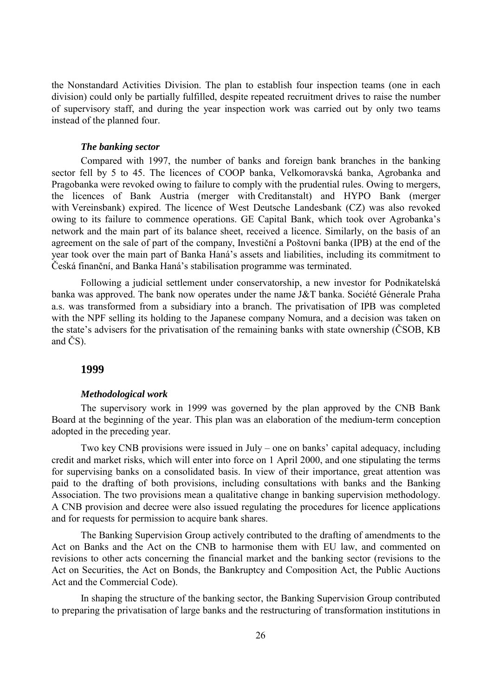the Nonstandard Activities Division. The plan to establish four inspection teams (one in each division) could only be partially fulfilled, despite repeated recruitment drives to raise the number of supervisory staff, and during the year inspection work was carried out by only two teams instead of the planned four.

#### *The banking sector*

Compared with 1997, the number of banks and foreign bank branches in the banking sector fell by 5 to 45. The licences of COOP banka, Velkomoravská banka, Agrobanka and Pragobanka were revoked owing to failure to comply with the prudential rules. Owing to mergers, the licences of Bank Austria (merger with Creditanstalt) and HYPO Bank (merger with Vereinsbank) expired. The licence of West Deutsche Landesbank (CZ) was also revoked owing to its failure to commence operations. GE Capital Bank, which took over Agrobanka's network and the main part of its balance sheet, received a licence. Similarly, on the basis of an agreement on the sale of part of the company, Investiční a Poštovní banka (IPB) at the end of the year took over the main part of Banka Haná's assets and liabilities, including its commitment to Česká finanční, and Banka Haná's stabilisation programme was terminated.

Following a judicial settlement under conservatorship, a new investor for Podnikatelská banka was approved. The bank now operates under the name J&T banka. Société Génerale Praha a.s. was transformed from a subsidiary into a branch. The privatisation of IPB was completed with the NPF selling its holding to the Japanese company Nomura, and a decision was taken on the state's advisers for the privatisation of the remaining banks with state ownership (ČSOB, KB and ČS).

## **1999**

#### *Methodological work*

The supervisory work in 1999 was governed by the plan approved by the CNB Bank Board at the beginning of the year. This plan was an elaboration of the medium-term conception adopted in the preceding year.

Two key CNB provisions were issued in July – one on banks' capital adequacy, including credit and market risks, which will enter into force on 1 April 2000, and one stipulating the terms for supervising banks on a consolidated basis. In view of their importance, great attention was paid to the drafting of both provisions, including consultations with banks and the Banking Association. The two provisions mean a qualitative change in banking supervision methodology. A CNB provision and decree were also issued regulating the procedures for licence applications and for requests for permission to acquire bank shares.

The Banking Supervision Group actively contributed to the drafting of amendments to the Act on Banks and the Act on the CNB to harmonise them with EU law, and commented on revisions to other acts concerning the financial market and the banking sector (revisions to the Act on Securities, the Act on Bonds, the Bankruptcy and Composition Act, the Public Auctions Act and the Commercial Code).

In shaping the structure of the banking sector, the Banking Supervision Group contributed to preparing the privatisation of large banks and the restructuring of transformation institutions in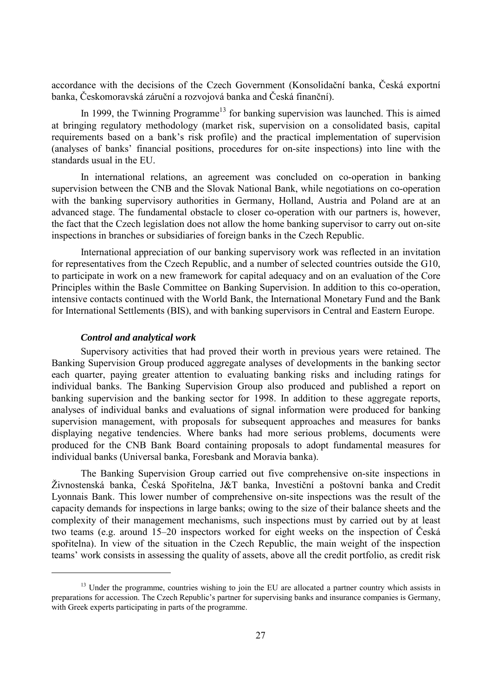accordance with the decisions of the Czech Government (Konsolidační banka, Česká exportní banka, Českomoravská záruční a rozvojová banka and Česká finanční).

In 1999, the Twinning Programme<sup>13</sup> for banking supervision was launched. This is aimed at bringing regulatory methodology (market risk, supervision on a consolidated basis, capital requirements based on a bank's risk profile) and the practical implementation of supervision (analyses of banks' financial positions, procedures for on-site inspections) into line with the standards usual in the EU.

In international relations, an agreement was concluded on co-operation in banking supervision between the CNB and the Slovak National Bank, while negotiations on co-operation with the banking supervisory authorities in Germany, Holland, Austria and Poland are at an advanced stage. The fundamental obstacle to closer co-operation with our partners is, however, the fact that the Czech legislation does not allow the home banking supervisor to carry out on-site inspections in branches or subsidiaries of foreign banks in the Czech Republic.

International appreciation of our banking supervisory work was reflected in an invitation for representatives from the Czech Republic, and a number of selected countries outside the G10, to participate in work on a new framework for capital adequacy and on an evaluation of the Core Principles within the Basle Committee on Banking Supervision. In addition to this co-operation, intensive contacts continued with the World Bank, the International Monetary Fund and the Bank for International Settlements (BIS), and with banking supervisors in Central and Eastern Europe.

#### *Control and analytical work*

 $\overline{a}$ 

Supervisory activities that had proved their worth in previous years were retained. The Banking Supervision Group produced aggregate analyses of developments in the banking sector each quarter, paying greater attention to evaluating banking risks and including ratings for individual banks. The Banking Supervision Group also produced and published a report on banking supervision and the banking sector for 1998. In addition to these aggregate reports, analyses of individual banks and evaluations of signal information were produced for banking supervision management, with proposals for subsequent approaches and measures for banks displaying negative tendencies. Where banks had more serious problems, documents were produced for the CNB Bank Board containing proposals to adopt fundamental measures for individual banks (Universal banka, Foresbank and Moravia banka).

The Banking Supervision Group carried out five comprehensive on-site inspections in Živnostenská banka, Česká Spořitelna, J&T banka, Investiční a poštovní banka and Credit Lyonnais Bank. This lower number of comprehensive on-site inspections was the result of the capacity demands for inspections in large banks; owing to the size of their balance sheets and the complexity of their management mechanisms, such inspections must by carried out by at least two teams (e.g. around 15–20 inspectors worked for eight weeks on the inspection of Česká spořitelna). In view of the situation in the Czech Republic, the main weight of the inspection teams' work consists in assessing the quality of assets, above all the credit portfolio, as credit risk

<sup>&</sup>lt;sup>13</sup> Under the programme, countries wishing to join the EU are allocated a partner country which assists in preparations for accession. The Czech Republic's partner for supervising banks and insurance companies is Germany, with Greek experts participating in parts of the programme.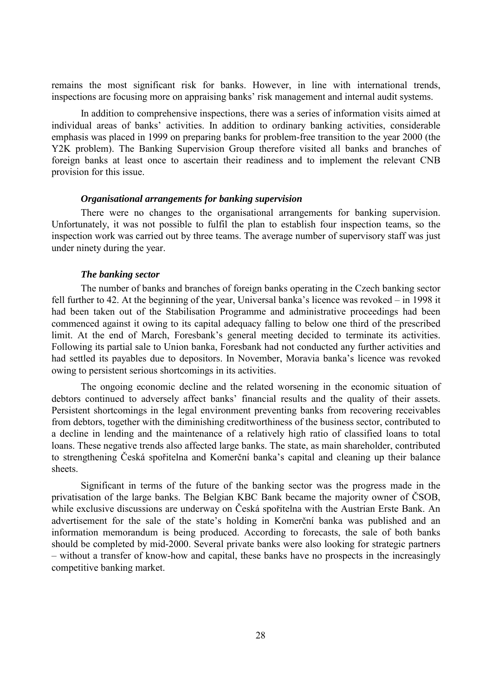remains the most significant risk for banks. However, in line with international trends, inspections are focusing more on appraising banks' risk management and internal audit systems.

In addition to comprehensive inspections, there was a series of information visits aimed at individual areas of banks' activities. In addition to ordinary banking activities, considerable emphasis was placed in 1999 on preparing banks for problem-free transition to the year 2000 (the Y2K problem). The Banking Supervision Group therefore visited all banks and branches of foreign banks at least once to ascertain their readiness and to implement the relevant CNB provision for this issue.

#### *Organisational arrangements for banking supervision*

There were no changes to the organisational arrangements for banking supervision. Unfortunately, it was not possible to fulfil the plan to establish four inspection teams, so the inspection work was carried out by three teams. The average number of supervisory staff was just under ninety during the year.

#### *The banking sector*

The number of banks and branches of foreign banks operating in the Czech banking sector fell further to 42. At the beginning of the year, Universal banka's licence was revoked – in 1998 it had been taken out of the Stabilisation Programme and administrative proceedings had been commenced against it owing to its capital adequacy falling to below one third of the prescribed limit. At the end of March, Foresbank's general meeting decided to terminate its activities. Following its partial sale to Union banka, Foresbank had not conducted any further activities and had settled its payables due to depositors. In November, Moravia banka's licence was revoked owing to persistent serious shortcomings in its activities.

The ongoing economic decline and the related worsening in the economic situation of debtors continued to adversely affect banks' financial results and the quality of their assets. Persistent shortcomings in the legal environment preventing banks from recovering receivables from debtors, together with the diminishing creditworthiness of the business sector, contributed to a decline in lending and the maintenance of a relatively high ratio of classified loans to total loans. These negative trends also affected large banks. The state, as main shareholder, contributed to strengthening Česká spořitelna and Komerční banka's capital and cleaning up their balance sheets.

Significant in terms of the future of the banking sector was the progress made in the privatisation of the large banks. The Belgian KBC Bank became the majority owner of ČSOB, while exclusive discussions are underway on Česká spořitelna with the Austrian Erste Bank. An advertisement for the sale of the state's holding in Komerční banka was published and an information memorandum is being produced. According to forecasts, the sale of both banks should be completed by mid-2000. Several private banks were also looking for strategic partners – without a transfer of know-how and capital, these banks have no prospects in the increasingly competitive banking market.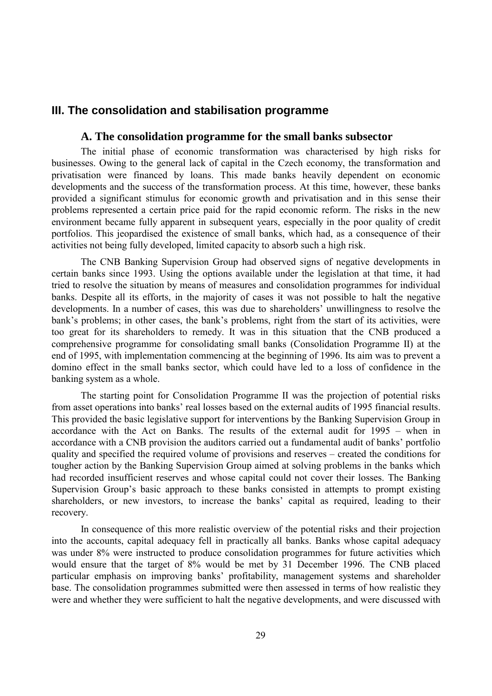## **III. The consolidation and stabilisation programme**

### **A. The consolidation programme for the small banks subsector**

The initial phase of economic transformation was characterised by high risks for businesses. Owing to the general lack of capital in the Czech economy, the transformation and privatisation were financed by loans. This made banks heavily dependent on economic developments and the success of the transformation process. At this time, however, these banks provided a significant stimulus for economic growth and privatisation and in this sense their problems represented a certain price paid for the rapid economic reform. The risks in the new environment became fully apparent in subsequent years, especially in the poor quality of credit portfolios. This jeopardised the existence of small banks, which had, as a consequence of their activities not being fully developed, limited capacity to absorb such a high risk.

The CNB Banking Supervision Group had observed signs of negative developments in certain banks since 1993. Using the options available under the legislation at that time, it had tried to resolve the situation by means of measures and consolidation programmes for individual banks. Despite all its efforts, in the majority of cases it was not possible to halt the negative developments. In a number of cases, this was due to shareholders' unwillingness to resolve the bank's problems; in other cases, the bank's problems, right from the start of its activities, were too great for its shareholders to remedy. It was in this situation that the CNB produced a comprehensive programme for consolidating small banks (Consolidation Programme II) at the end of 1995, with implementation commencing at the beginning of 1996. Its aim was to prevent a domino effect in the small banks sector, which could have led to a loss of confidence in the banking system as a whole.

The starting point for Consolidation Programme II was the projection of potential risks from asset operations into banks' real losses based on the external audits of 1995 financial results. This provided the basic legislative support for interventions by the Banking Supervision Group in accordance with the Act on Banks. The results of the external audit for 1995 – when in accordance with a CNB provision the auditors carried out a fundamental audit of banks' portfolio quality and specified the required volume of provisions and reserves – created the conditions for tougher action by the Banking Supervision Group aimed at solving problems in the banks which had recorded insufficient reserves and whose capital could not cover their losses. The Banking Supervision Group's basic approach to these banks consisted in attempts to prompt existing shareholders, or new investors, to increase the banks' capital as required, leading to their recovery.

In consequence of this more realistic overview of the potential risks and their projection into the accounts, capital adequacy fell in practically all banks. Banks whose capital adequacy was under 8% were instructed to produce consolidation programmes for future activities which would ensure that the target of 8% would be met by 31 December 1996. The CNB placed particular emphasis on improving banks' profitability, management systems and shareholder base. The consolidation programmes submitted were then assessed in terms of how realistic they were and whether they were sufficient to halt the negative developments, and were discussed with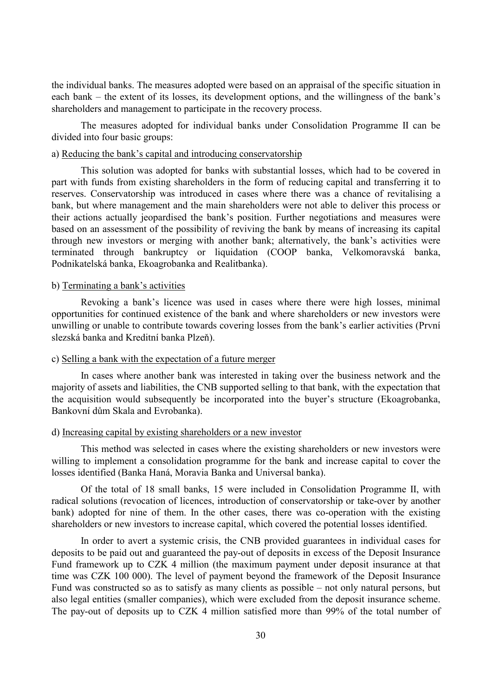the individual banks. The measures adopted were based on an appraisal of the specific situation in each bank – the extent of its losses, its development options, and the willingness of the bank's shareholders and management to participate in the recovery process.

The measures adopted for individual banks under Consolidation Programme II can be divided into four basic groups:

#### a) Reducing the bank's capital and introducing conservatorship

This solution was adopted for banks with substantial losses, which had to be covered in part with funds from existing shareholders in the form of reducing capital and transferring it to reserves. Conservatorship was introduced in cases where there was a chance of revitalising a bank, but where management and the main shareholders were not able to deliver this process or their actions actually jeopardised the bank's position. Further negotiations and measures were based on an assessment of the possibility of reviving the bank by means of increasing its capital through new investors or merging with another bank; alternatively, the bank's activities were terminated through bankruptcy or liquidation (COOP banka, Velkomoravská banka, Podnikatelská banka, Ekoagrobanka and Realitbanka).

#### b) Terminating a bank's activities

Revoking a bank's licence was used in cases where there were high losses, minimal opportunities for continued existence of the bank and where shareholders or new investors were unwilling or unable to contribute towards covering losses from the bank's earlier activities (První slezská banka and Kreditní banka Plzeň).

#### c) Selling a bank with the expectation of a future merger

In cases where another bank was interested in taking over the business network and the majority of assets and liabilities, the CNB supported selling to that bank, with the expectation that the acquisition would subsequently be incorporated into the buyer's structure (Ekoagrobanka, Bankovní dům Skala and Evrobanka).

#### d) Increasing capital by existing shareholders or a new investor

This method was selected in cases where the existing shareholders or new investors were willing to implement a consolidation programme for the bank and increase capital to cover the losses identified (Banka Haná, Moravia Banka and Universal banka).

Of the total of 18 small banks, 15 were included in Consolidation Programme II, with radical solutions (revocation of licences, introduction of conservatorship or take-over by another bank) adopted for nine of them. In the other cases, there was co-operation with the existing shareholders or new investors to increase capital, which covered the potential losses identified.

In order to avert a systemic crisis, the CNB provided guarantees in individual cases for deposits to be paid out and guaranteed the pay-out of deposits in excess of the Deposit Insurance Fund framework up to CZK 4 million (the maximum payment under deposit insurance at that time was CZK 100 000). The level of payment beyond the framework of the Deposit Insurance Fund was constructed so as to satisfy as many clients as possible – not only natural persons, but also legal entities (smaller companies), which were excluded from the deposit insurance scheme. The pay-out of deposits up to CZK 4 million satisfied more than 99% of the total number of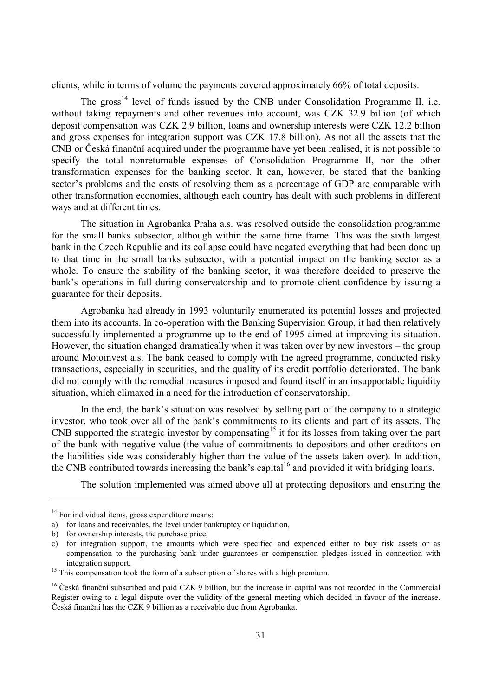clients, while in terms of volume the payments covered approximately 66% of total deposits.

The gross<sup>14</sup> level of funds issued by the CNB under Consolidation Programme II, i.e. without taking repayments and other revenues into account, was CZK 32.9 billion (of which deposit compensation was CZK 2.9 billion, loans and ownership interests were CZK 12.2 billion and gross expenses for integration support was CZK 17.8 billion). As not all the assets that the CNB or Česká finanční acquired under the programme have yet been realised, it is not possible to specify the total nonreturnable expenses of Consolidation Programme II, nor the other transformation expenses for the banking sector. It can, however, be stated that the banking sector's problems and the costs of resolving them as a percentage of GDP are comparable with other transformation economies, although each country has dealt with such problems in different ways and at different times.

The situation in Agrobanka Praha a.s. was resolved outside the consolidation programme for the small banks subsector, although within the same time frame. This was the sixth largest bank in the Czech Republic and its collapse could have negated everything that had been done up to that time in the small banks subsector, with a potential impact on the banking sector as a whole. To ensure the stability of the banking sector, it was therefore decided to preserve the bank's operations in full during conservatorship and to promote client confidence by issuing a guarantee for their deposits.

Agrobanka had already in 1993 voluntarily enumerated its potential losses and projected them into its accounts. In co-operation with the Banking Supervision Group, it had then relatively successfully implemented a programme up to the end of 1995 aimed at improving its situation. However, the situation changed dramatically when it was taken over by new investors – the group around Motoinvest a.s. The bank ceased to comply with the agreed programme, conducted risky transactions, especially in securities, and the quality of its credit portfolio deteriorated. The bank did not comply with the remedial measures imposed and found itself in an insupportable liquidity situation, which climaxed in a need for the introduction of conservatorship.

In the end, the bank's situation was resolved by selling part of the company to a strategic investor, who took over all of the bank's commitments to its clients and part of its assets. The  $CNB$  supported the strategic investor by compensating<sup>15</sup> it for its losses from taking over the part of the bank with negative value (the value of commitments to depositors and other creditors on the liabilities side was considerably higher than the value of the assets taken over). In addition, the CNB contributed towards increasing the bank's capital<sup>16</sup> and provided it with bridging loans.

The solution implemented was aimed above all at protecting depositors and ensuring the

 $\overline{a}$ 

 $14$  For individual items, gross expenditure means:

a) for loans and receivables, the level under bankruptcy or liquidation,

b) for ownership interests, the purchase price,

c) for integration support, the amounts which were specified and expended either to buy risk assets or as compensation to the purchasing bank under guarantees or compensation pledges issued in connection with integration support.

<sup>&</sup>lt;sup>15</sup> This compensation took the form of a subscription of shares with a high premium.

<sup>&</sup>lt;sup>16</sup> Česká finanční subscribed and paid CZK 9 billion, but the increase in capital was not recorded in the Commercial Register owing to a legal dispute over the validity of the general meeting which decided in favour of the increase. Česká finanční has the CZK 9 billion as a receivable due from Agrobanka.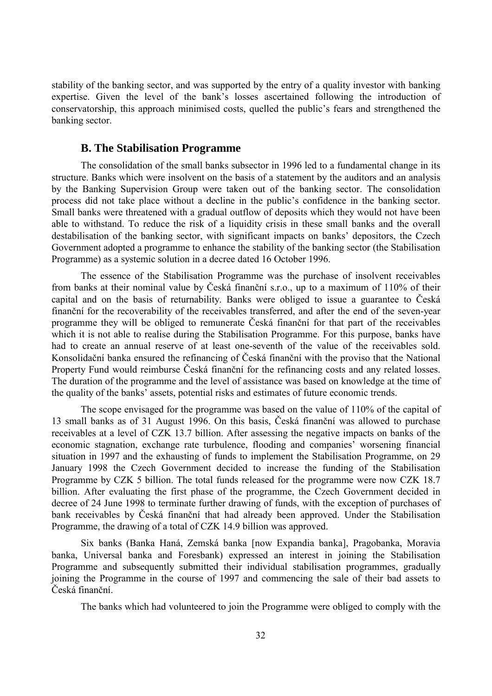stability of the banking sector, and was supported by the entry of a quality investor with banking expertise. Given the level of the bank's losses ascertained following the introduction of conservatorship, this approach minimised costs, quelled the public's fears and strengthened the banking sector.

#### **B. The Stabilisation Programme**

The consolidation of the small banks subsector in 1996 led to a fundamental change in its structure. Banks which were insolvent on the basis of a statement by the auditors and an analysis by the Banking Supervision Group were taken out of the banking sector. The consolidation process did not take place without a decline in the public's confidence in the banking sector. Small banks were threatened with a gradual outflow of deposits which they would not have been able to withstand. To reduce the risk of a liquidity crisis in these small banks and the overall destabilisation of the banking sector, with significant impacts on banks' depositors, the Czech Government adopted a programme to enhance the stability of the banking sector (the Stabilisation Programme) as a systemic solution in a decree dated 16 October 1996.

The essence of the Stabilisation Programme was the purchase of insolvent receivables from banks at their nominal value by Česká finanční s.r.o., up to a maximum of 110% of their capital and on the basis of returnability. Banks were obliged to issue a guarantee to Česká finanční for the recoverability of the receivables transferred, and after the end of the seven-year programme they will be obliged to remunerate Česká finanční for that part of the receivables which it is not able to realise during the Stabilisation Programme. For this purpose, banks have had to create an annual reserve of at least one-seventh of the value of the receivables sold. Konsolidační banka ensured the refinancing of Česká finanční with the proviso that the National Property Fund would reimburse Česká finanční for the refinancing costs and any related losses. The duration of the programme and the level of assistance was based on knowledge at the time of the quality of the banks' assets, potential risks and estimates of future economic trends.

The scope envisaged for the programme was based on the value of 110% of the capital of 13 small banks as of 31 August 1996. On this basis, Česká finanční was allowed to purchase receivables at a level of CZK 13.7 billion. After assessing the negative impacts on banks of the economic stagnation, exchange rate turbulence, flooding and companies' worsening financial situation in 1997 and the exhausting of funds to implement the Stabilisation Programme, on 29 January 1998 the Czech Government decided to increase the funding of the Stabilisation Programme by CZK 5 billion. The total funds released for the programme were now CZK 18.7 billion. After evaluating the first phase of the programme, the Czech Government decided in decree of 24 June 1998 to terminate further drawing of funds, with the exception of purchases of bank receivables by Česká finanční that had already been approved. Under the Stabilisation Programme, the drawing of a total of CZK 14.9 billion was approved.

Six banks (Banka Haná, Zemská banka [now Expandia banka], Pragobanka, Moravia banka, Universal banka and Foresbank) expressed an interest in joining the Stabilisation Programme and subsequently submitted their individual stabilisation programmes, gradually joining the Programme in the course of 1997 and commencing the sale of their bad assets to Česká finanční.

The banks which had volunteered to join the Programme were obliged to comply with the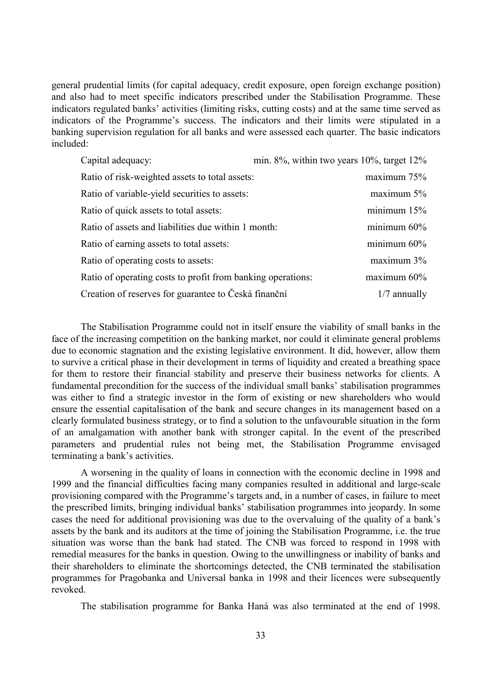general prudential limits (for capital adequacy, credit exposure, open foreign exchange position) and also had to meet specific indicators prescribed under the Stabilisation Programme. These indicators regulated banks' activities (limiting risks, cutting costs) and at the same time served as indicators of the Programme's success. The indicators and their limits were stipulated in a banking supervision regulation for all banks and were assessed each quarter. The basic indicators included:

| Capital adequacy:                                           | min. $8\%$ , within two years $10\%$ , target $12\%$ |
|-------------------------------------------------------------|------------------------------------------------------|
| Ratio of risk-weighted assets to total assets:              | maximum 75%                                          |
| Ratio of variable-yield securities to assets:               | maximum 5%                                           |
| Ratio of quick assets to total assets:                      | minimum 15%                                          |
| Ratio of assets and liabilities due within 1 month:         | minimum 60%                                          |
| Ratio of earning assets to total assets:                    | minimum 60%                                          |
| Ratio of operating costs to assets:                         | maximum 3%                                           |
| Ratio of operating costs to profit from banking operations: | maximum $60\%$                                       |
| Creation of reserves for guarantee to Česká finanční        | $1/7$ annually                                       |

The Stabilisation Programme could not in itself ensure the viability of small banks in the face of the increasing competition on the banking market, nor could it eliminate general problems due to economic stagnation and the existing legislative environment. It did, however, allow them to survive a critical phase in their development in terms of liquidity and created a breathing space for them to restore their financial stability and preserve their business networks for clients. A fundamental precondition for the success of the individual small banks' stabilisation programmes was either to find a strategic investor in the form of existing or new shareholders who would ensure the essential capitalisation of the bank and secure changes in its management based on a clearly formulated business strategy, or to find a solution to the unfavourable situation in the form of an amalgamation with another bank with stronger capital. In the event of the prescribed parameters and prudential rules not being met, the Stabilisation Programme envisaged terminating a bank's activities.

A worsening in the quality of loans in connection with the economic decline in 1998 and 1999 and the financial difficulties facing many companies resulted in additional and large-scale provisioning compared with the Programme's targets and, in a number of cases, in failure to meet the prescribed limits, bringing individual banks' stabilisation programmes into jeopardy. In some cases the need for additional provisioning was due to the overvaluing of the quality of a bank's assets by the bank and its auditors at the time of joining the Stabilisation Programme, i.e. the true situation was worse than the bank had stated. The CNB was forced to respond in 1998 with remedial measures for the banks in question. Owing to the unwillingness or inability of banks and their shareholders to eliminate the shortcomings detected, the CNB terminated the stabilisation programmes for Pragobanka and Universal banka in 1998 and their licences were subsequently revoked.

The stabilisation programme for Banka Haná was also terminated at the end of 1998.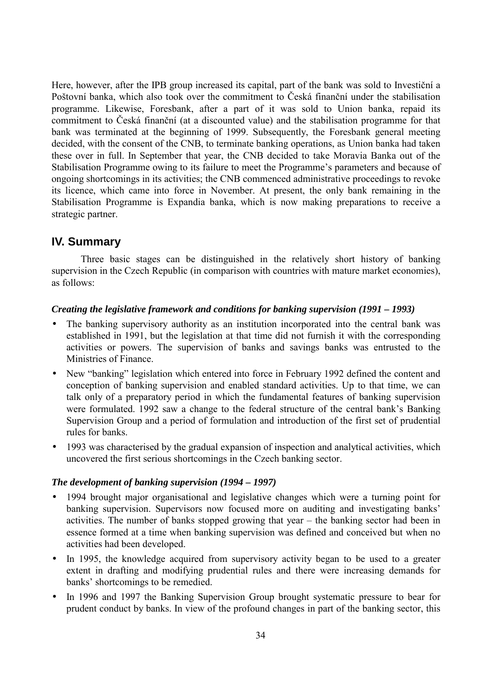Here, however, after the IPB group increased its capital, part of the bank was sold to Investiční a Poštovní banka, which also took over the commitment to Česká finanční under the stabilisation programme. Likewise, Foresbank, after a part of it was sold to Union banka, repaid its commitment to Česká finanční (at a discounted value) and the stabilisation programme for that bank was terminated at the beginning of 1999. Subsequently, the Foresbank general meeting decided, with the consent of the CNB, to terminate banking operations, as Union banka had taken these over in full. In September that year, the CNB decided to take Moravia Banka out of the Stabilisation Programme owing to its failure to meet the Programme's parameters and because of ongoing shortcomings in its activities; the CNB commenced administrative proceedings to revoke its licence, which came into force in November. At present, the only bank remaining in the Stabilisation Programme is Expandia banka, which is now making preparations to receive a strategic partner.

# **IV. Summary**

Three basic stages can be distinguished in the relatively short history of banking supervision in the Czech Republic (in comparison with countries with mature market economies), as follows:

## *Creating the legislative framework and conditions for banking supervision (1991 – 1993)*

- The banking supervisory authority as an institution incorporated into the central bank was established in 1991, but the legislation at that time did not furnish it with the corresponding activities or powers. The supervision of banks and savings banks was entrusted to the Ministries of Finance.
- New "banking" legislation which entered into force in February 1992 defined the content and conception of banking supervision and enabled standard activities. Up to that time, we can talk only of a preparatory period in which the fundamental features of banking supervision were formulated. 1992 saw a change to the federal structure of the central bank's Banking Supervision Group and a period of formulation and introduction of the first set of prudential rules for banks.
- 1993 was characterised by the gradual expansion of inspection and analytical activities, which uncovered the first serious shortcomings in the Czech banking sector.

## *The development of banking supervision (1994 – 1997)*

- 1994 brought major organisational and legislative changes which were a turning point for banking supervision. Supervisors now focused more on auditing and investigating banks' activities. The number of banks stopped growing that year – the banking sector had been in essence formed at a time when banking supervision was defined and conceived but when no activities had been developed.
- In 1995, the knowledge acquired from supervisory activity began to be used to a greater extent in drafting and modifying prudential rules and there were increasing demands for banks' shortcomings to be remedied.
- In 1996 and 1997 the Banking Supervision Group brought systematic pressure to bear for prudent conduct by banks. In view of the profound changes in part of the banking sector, this